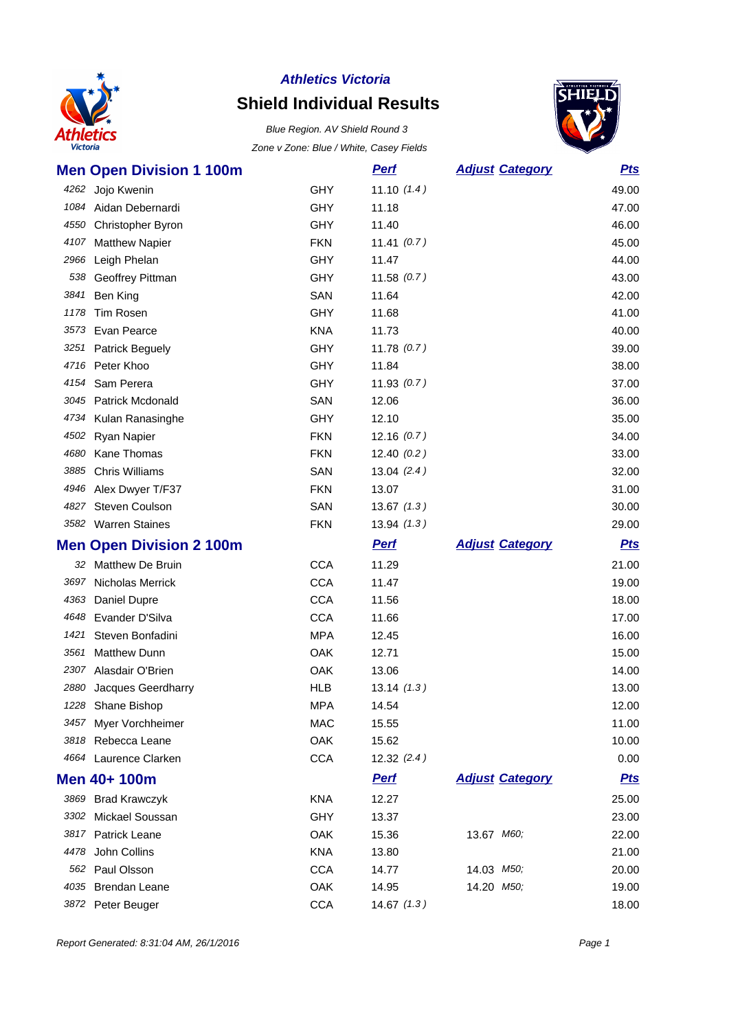

# **Shield Individual Results**

Blue Region. AV Shield Round 3 Zone v Zone: Blue / White, Casey Fields



|      | <b>Men Open Division 1 100m</b> |            | <b>Perf</b>   | <b>Adjust Category</b> | <b>Pts</b> |
|------|---------------------------------|------------|---------------|------------------------|------------|
|      | 4262 Jojo Kwenin                | <b>GHY</b> | 11.10(1.4)    |                        | 49.00      |
|      | 1084 Aidan Debernardi           | <b>GHY</b> | 11.18         |                        | 47.00      |
|      | 4550 Christopher Byron          | <b>GHY</b> | 11.40         |                        | 46.00      |
|      | 4107 Matthew Napier             | <b>FKN</b> | 11.41 $(0.7)$ |                        | 45.00      |
|      | 2966 Leigh Phelan               | <b>GHY</b> | 11.47         |                        | 44.00      |
| 538  | Geoffrey Pittman                | <b>GHY</b> | 11.58(0.7)    |                        | 43.00      |
|      | 3841 Ben King                   | SAN        | 11.64         |                        | 42.00      |
| 1178 | Tim Rosen                       | <b>GHY</b> | 11.68         |                        | 41.00      |
| 3573 | Evan Pearce                     | <b>KNA</b> | 11.73         |                        | 40.00      |
|      | 3251 Patrick Beguely            | <b>GHY</b> | 11.78(0.7)    |                        | 39.00      |
|      | 4716 Peter Khoo                 | <b>GHY</b> | 11.84         |                        | 38.00      |
|      | 4154 Sam Perera                 | GHY        | 11.93(0.7)    |                        | 37.00      |
|      | 3045 Patrick Mcdonald           | SAN        | 12.06         |                        | 36.00      |
|      | 4734 Kulan Ranasinghe           | <b>GHY</b> | 12.10         |                        | 35.00      |
|      | 4502 Ryan Napier                | <b>FKN</b> | 12.16(0.7)    |                        | 34.00      |
| 4680 | Kane Thomas                     | <b>FKN</b> | 12.40(0.2)    |                        | 33.00      |
|      | 3885 Chris Williams             | SAN        | 13.04(2.4)    |                        | 32.00      |
|      | 4946 Alex Dwyer T/F37           | <b>FKN</b> | 13.07         |                        | 31.00      |
|      | 4827 Steven Coulson             | SAN        | 13.67(1.3)    |                        | 30.00      |
|      | 3582 Warren Staines             | <b>FKN</b> | 13.94(1.3)    |                        | 29.00      |
|      |                                 |            |               |                        |            |
|      | <b>Men Open Division 2 100m</b> |            | <b>Perf</b>   | <b>Adjust Category</b> | <b>Pts</b> |
|      | 32 Matthew De Bruin             | <b>CCA</b> | 11.29         |                        | 21.00      |
|      | 3697 Nicholas Merrick           | <b>CCA</b> | 11.47         |                        | 19.00      |
|      | 4363 Daniel Dupre               | <b>CCA</b> | 11.56         |                        | 18.00      |
|      | 4648 Evander D'Silva            | <b>CCA</b> | 11.66         |                        | 17.00      |
| 1421 | Steven Bonfadini                | <b>MPA</b> | 12.45         |                        | 16.00      |
| 3561 | <b>Matthew Dunn</b>             | OAK        | 12.71         |                        | 15.00      |
|      | 2307 Alasdair O'Brien           | OAK        | 13.06         |                        | 14.00      |
| 2880 | Jacques Geerdharry              | <b>HLB</b> | 13.14(1.3)    |                        | 13.00      |
|      | 1228 Shane Bishop               | <b>MPA</b> | 14.54         |                        | 12.00      |
|      | 3457 Myer Vorchheimer           | MAC        | 15.55         |                        | 11.00      |
|      | 3818 Rebecca Leane              | OAK        | 15.62         |                        | 10.00      |
|      | 4664 Laurence Clarken           | <b>CCA</b> | 12.32(2.4)    |                        | 0.00       |
|      | Men 40+ 100m                    |            | <b>Perf</b>   | <b>Adjust Category</b> | <u>Pts</u> |
|      | 3869 Brad Krawczyk              | <b>KNA</b> | 12.27         |                        | 25.00      |
|      | 3302 Mickael Soussan            | <b>GHY</b> | 13.37         |                        | 23.00      |
|      | 3817 Patrick Leane              | OAK        | 15.36         | 13.67 M60;             | 22.00      |
|      | 4478 John Collins               | <b>KNA</b> | 13.80         |                        | 21.00      |
|      | 562 Paul Olsson                 | <b>CCA</b> | 14.77         | 14.03 M50;             | 20.00      |
|      | 4035 Brendan Leane              | OAK        | 14.95         | 14.20 M50;             | 19.00      |

Report Generated: 8:31:04 AM, 26/1/2016 **Page 1**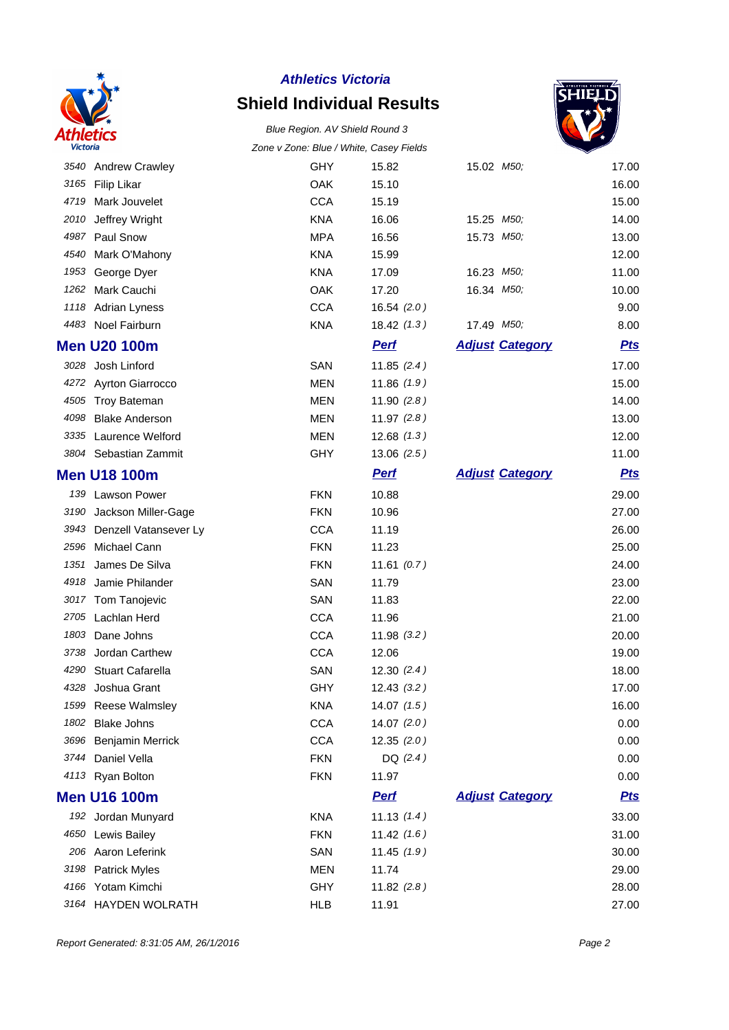

# **Shield Individual Results**



|      |                            | Zune v Zune. Diue / Winte, Casey Fleius |               |                         |            |
|------|----------------------------|-----------------------------------------|---------------|-------------------------|------------|
|      | 3540 Andrew Crawley        | GHY                                     | 15.82         | 15.02 <i>M50</i> ;      | 17.00      |
|      | 3165 Filip Likar           | <b>OAK</b>                              | 15.10         |                         | 16.00      |
| 4719 | Mark Jouvelet              | <b>CCA</b>                              | 15.19         |                         | 15.00      |
| 2010 | Jeffrey Wright             | <b>KNA</b>                              | 16.06         | 15.25 M50;              | 14.00      |
| 4987 | Paul Snow                  | <b>MPA</b>                              | 16.56         | 15.73 M50;              | 13.00      |
| 4540 | Mark O'Mahony              | <b>KNA</b>                              | 15.99         |                         | 12.00      |
| 1953 | George Dyer                | <b>KNA</b>                              | 17.09         | 16.23 M <sub>50</sub> ; | 11.00      |
| 1262 | Mark Cauchi                | <b>OAK</b>                              | 17.20         | 16.34 M <sub>50</sub> ; | 10.00      |
|      | 1118 Adrian Lyness         | <b>CCA</b>                              | 16.54(2.0)    |                         | 9.00       |
|      | 4483 Noel Fairburn         | <b>KNA</b>                              | 18.42(1.3)    | 17.49 M50;              | 8.00       |
|      | <b>Men U20 100m</b>        |                                         | <b>Perf</b>   | <b>Adjust Category</b>  | <b>Pts</b> |
|      | 3028 Josh Linford          | SAN                                     | 11.85(2.4)    |                         | 17.00      |
|      | 4272 Ayrton Giarrocco      | <b>MEN</b>                              | 11.86(1.9)    |                         | 15.00      |
|      | 4505 Troy Bateman          | <b>MEN</b>                              | 11.90 $(2.8)$ |                         | 14.00      |
| 4098 | <b>Blake Anderson</b>      | <b>MEN</b>                              | 11.97(2.8)    |                         | 13.00      |
|      | 3335 Laurence Welford      | <b>MEN</b>                              | 12.68(1.3)    |                         | 12.00      |
|      | 3804 Sebastian Zammit      | <b>GHY</b>                              | 13.06(2.5)    |                         | 11.00      |
|      | <b>Men U18 100m</b>        |                                         | <b>Perf</b>   | <b>Adjust Category</b>  | <b>Pts</b> |
|      | 139 Lawson Power           | <b>FKN</b>                              | 10.88         |                         | 29.00      |
|      | 3190 Jackson Miller-Gage   | <b>FKN</b>                              | 10.96         |                         | 27.00      |
|      | 3943 Denzell Vatansever Ly | <b>CCA</b>                              | 11.19         |                         | 26.00      |
| 2596 | Michael Cann               | <b>FKN</b>                              | 11.23         |                         | 25.00      |
| 1351 | James De Silva             | <b>FKN</b>                              | 11.61(0.7)    |                         | 24.00      |
| 4918 | Jamie Philander            | SAN                                     | 11.79         |                         | 23.00      |
|      | 3017 Tom Tanojevic         | SAN                                     | 11.83         |                         | 22.00      |
| 2705 | Lachlan Herd               | <b>CCA</b>                              | 11.96         |                         | 21.00      |
| 1803 | Dane Johns                 | <b>CCA</b>                              | 11.98(3.2)    |                         | 20.00      |
| 3738 | Jordan Carthew             | <b>CCA</b>                              | 12.06         |                         | 19.00      |
| 4290 | <b>Stuart Cafarella</b>    | SAN                                     | 12.30(2.4)    |                         | 18.00      |
| 4328 | Joshua Grant               | GHY                                     | 12.43(3.2)    |                         | 17.00      |
| 1599 | <b>Reese Walmsley</b>      | <b>KNA</b>                              | 14.07(1.5)    |                         | 16.00      |
| 1802 | <b>Blake Johns</b>         | <b>CCA</b>                              | 14.07(2.0)    |                         | 0.00       |
| 3696 | Benjamin Merrick           | <b>CCA</b>                              | 12.35(2.0)    |                         | 0.00       |
| 3744 | Daniel Vella               | <b>FKN</b>                              | DQ $(2.4)$    |                         | 0.00       |
|      | 4113 Ryan Bolton           | <b>FKN</b>                              | 11.97         |                         | 0.00       |
|      | <b>Men U16 100m</b>        |                                         | <b>Perf</b>   | <b>Adjust Category</b>  | <u>Pts</u> |
|      | 192 Jordan Munyard         | <b>KNA</b>                              | 11.13(1.4)    |                         | 33.00      |
|      | 4650 Lewis Bailey          | <b>FKN</b>                              | 11.42(1.6)    |                         | 31.00      |
|      | 206 Aaron Leferink         | SAN                                     | 11.45(1.9)    |                         | 30.00      |
|      | 3198 Patrick Myles         | MEN                                     | 11.74         |                         | 29.00      |
|      | 4166 Yotam Kimchi          | <b>GHY</b>                              | 11.82(2.8)    |                         | 28.00      |
| 3164 | HAYDEN WOLRATH             | <b>HLB</b>                              | 11.91         |                         | 27.00      |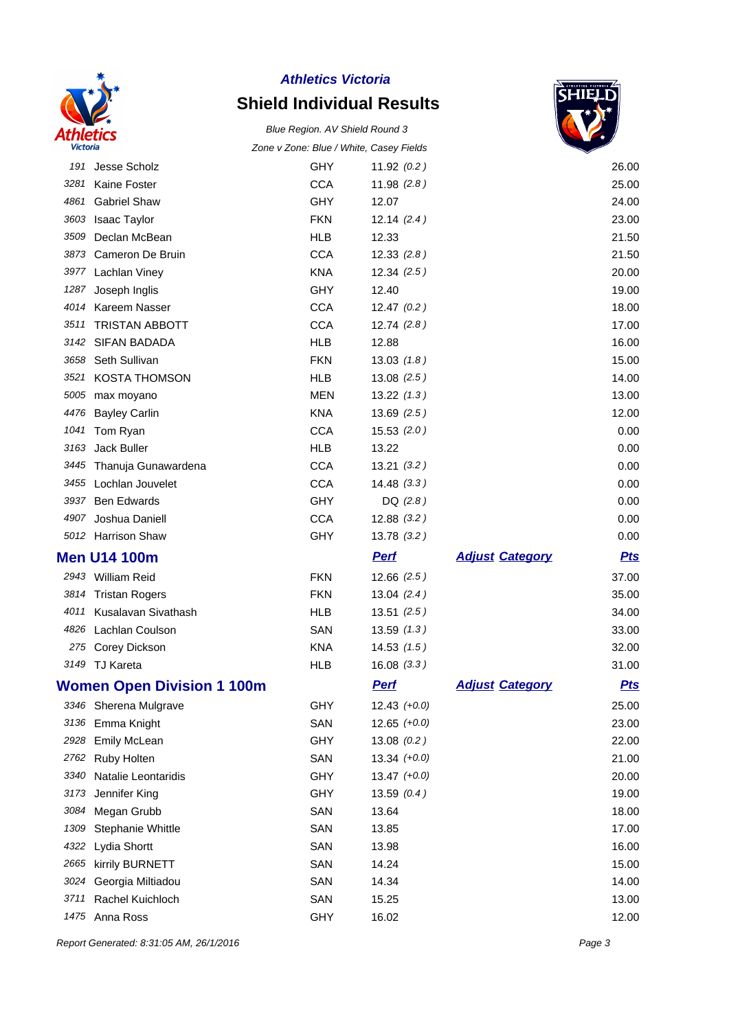

# **Shield Individual Results**

#### Blue Region. AV Shield Round 3 Zone v Zone: Blue / White, Casey Fields



| 191  | Jesse Scholz                      | <b>GHY</b> | 11.92(0.2)     |                        | 26.00      |
|------|-----------------------------------|------------|----------------|------------------------|------------|
| 3281 | Kaine Foster                      | <b>CCA</b> | 11.98(2.8)     |                        | 25.00      |
| 4861 | <b>Gabriel Shaw</b>               | <b>GHY</b> | 12.07          |                        | 24.00      |
| 3603 | <b>Isaac Taylor</b>               | <b>FKN</b> | 12.14(2.4)     |                        | 23.00      |
| 3509 | Declan McBean                     | <b>HLB</b> | 12.33          |                        | 21.50      |
| 3873 | Cameron De Bruin                  | <b>CCA</b> | 12.33(2.8)     |                        | 21.50      |
| 3977 | Lachlan Viney                     | <b>KNA</b> | 12.34(2.5)     |                        | 20.00      |
| 1287 | Joseph Inglis                     | GHY        | 12.40          |                        | 19.00      |
| 4014 | Kareem Nasser                     | <b>CCA</b> | 12.47(0.2)     |                        | 18.00      |
| 3511 | <b>TRISTAN ABBOTT</b>             | <b>CCA</b> | 12.74(2.8)     |                        | 17.00      |
| 3142 | <b>SIFAN BADADA</b>               | <b>HLB</b> | 12.88          |                        | 16.00      |
| 3658 | Seth Sullivan                     | <b>FKN</b> | 13.03(1.8)     |                        | 15.00      |
| 3521 | <b>KOSTA THOMSON</b>              | <b>HLB</b> | 13.08(2.5)     |                        | 14.00      |
| 5005 | max moyano                        | <b>MEN</b> | 13.22(1.3)     |                        | 13.00      |
| 4476 | <b>Bayley Carlin</b>              | <b>KNA</b> | 13.69(2.5)     |                        | 12.00      |
| 1041 | Tom Ryan                          | <b>CCA</b> | 15.53(2.0)     |                        | 0.00       |
| 3163 | Jack Buller                       | <b>HLB</b> | 13.22          |                        | 0.00       |
| 3445 | Thanuja Gunawardena               | <b>CCA</b> | 13.21(3.2)     |                        | 0.00       |
|      | 3455 Lochlan Jouvelet             | <b>CCA</b> | 14.48(3.3)     |                        | 0.00       |
| 3937 | <b>Ben Edwards</b>                | <b>GHY</b> | DQ $(2.8)$     |                        | 0.00       |
| 4907 | Joshua Daniell                    | <b>CCA</b> | 12.88(3.2)     |                        | 0.00       |
|      | 5012 Harrison Shaw                | <b>GHY</b> | 13.78(3.2)     |                        | 0.00       |
|      | <b>Men U14 100m</b>               |            | <b>Perf</b>    | <b>Adjust Category</b> | <u>Pts</u> |
|      | 2943 William Reid                 | <b>FKN</b> | 12.66(2.5)     |                        | 37.00      |
|      | 3814 Tristan Rogers               | <b>FKN</b> | 13.04(2.4)     |                        | 35.00      |
| 4011 | Kusalavan Sivathash               | <b>HLB</b> | 13.51(2.5)     |                        | 34.00      |
| 4826 | Lachlan Coulson                   | SAN        | 13.59(1.3)     |                        | 33.00      |
| 275  | Corey Dickson                     | <b>KNA</b> | 14.53(1.5)     |                        | 32.00      |
|      | 3149 TJ Kareta                    | <b>HLB</b> | 16.08(3.3)     |                        | 31.00      |
|      | <b>Women Open Division 1 100m</b> |            | <b>Perf</b>    | <b>Adjust Category</b> | <b>Pts</b> |
| 3346 | Sherena Mulgrave                  | GHY        | $12.43 (+0.0)$ |                        | 25.00      |
| 3136 | Emma Knight                       | SAN        | $12.65 (+0.0)$ |                        | 23.00      |
| 2928 | <b>Emily McLean</b>               | <b>GHY</b> | 13.08(0.2)     |                        | 22.00      |
| 2762 | Ruby Holten                       | SAN        | $13.34 (+0.0)$ |                        | 21.00      |
| 3340 | Natalie Leontaridis               | <b>GHY</b> | $13.47 (+0.0)$ |                        | 20.00      |
| 3173 | Jennifer King                     | <b>GHY</b> | 13.59(0.4)     |                        | 19.00      |
| 3084 | Megan Grubb                       | SAN        | 13.64          |                        | 18.00      |
| 1309 | Stephanie Whittle                 | SAN        | 13.85          |                        | 17.00      |
| 4322 | Lydia Shortt                      | SAN        | 13.98          |                        | 16.00      |
| 2665 | kirrily BURNETT                   | SAN        | 14.24          |                        | 15.00      |
| 3024 | Georgia Miltiadou                 | SAN        | 14.34          |                        | 14.00      |
| 3711 | Rachel Kuichloch                  | SAN        | 15.25          |                        | 13.00      |
|      | 1475 Anna Ross                    | GHY        | 16.02          |                        | 12.00      |

Report Generated: 8:31:05 AM, 26/1/2016 **Page 3**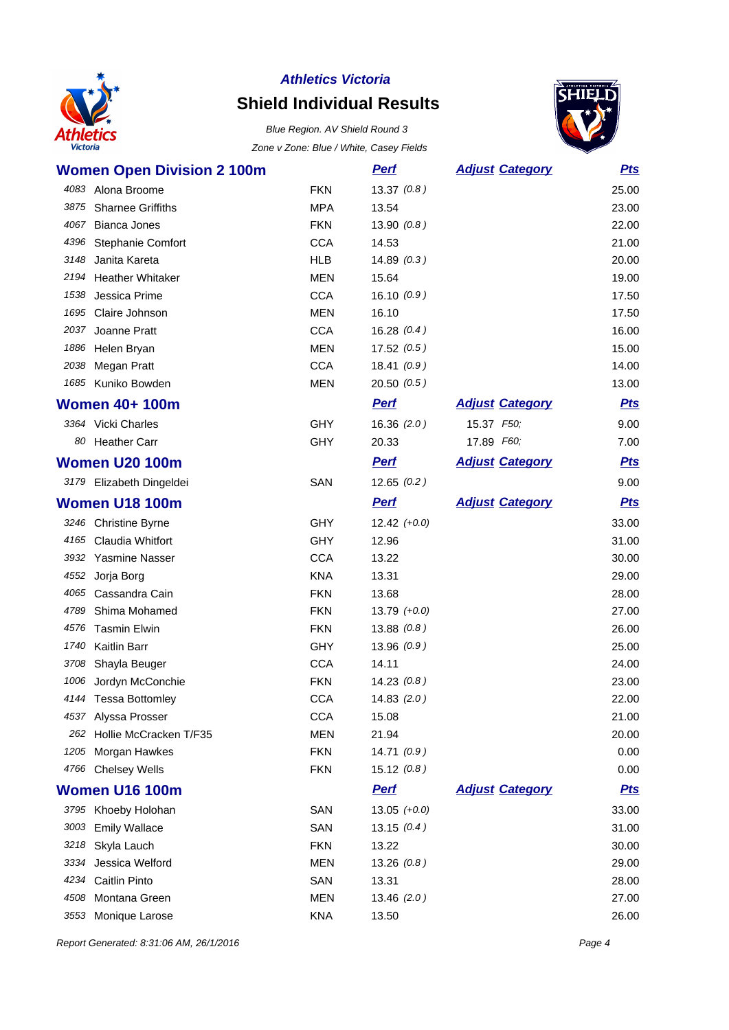

# **Shield Individual Results**

Blue Region. AV Shield Round 3 Zone v Zone: Blue / White, Casey Fields



| <b>Women Open Division 2 100m</b> |            | <u>Perf</u>    | <b>Adjust Category</b> | <b>Pts</b> |
|-----------------------------------|------------|----------------|------------------------|------------|
| 4083 Alona Broome                 | <b>FKN</b> | 13.37(0.8)     |                        | 25.00      |
| <b>Sharnee Griffiths</b><br>3875  | <b>MPA</b> | 13.54          |                        | 23.00      |
| 4067 Bianca Jones                 | <b>FKN</b> | 13.90(0.8)     |                        | 22.00      |
| 4396 Stephanie Comfort            | <b>CCA</b> | 14.53          |                        | 21.00      |
| 3148 Janita Kareta                | <b>HLB</b> | 14.89(0.3)     |                        | 20.00      |
| 2194 Heather Whitaker             | <b>MEN</b> | 15.64          |                        | 19.00      |
| 1538<br>Jessica Prime             | <b>CCA</b> | 16.10(0.9)     |                        | 17.50      |
| 1695 Claire Johnson               | <b>MEN</b> | 16.10          |                        | 17.50      |
| 2037<br>Joanne Pratt              | <b>CCA</b> | 16.28(0.4)     |                        | 16.00      |
| 1886 Helen Bryan                  | <b>MEN</b> | 17.52(0.5)     |                        | 15.00      |
| 2038 Megan Pratt                  | <b>CCA</b> | 18.41(0.9)     |                        | 14.00      |
| 1685 Kuniko Bowden                | <b>MEN</b> | 20.50(0.5)     |                        | 13.00      |
| <b>Women 40+ 100m</b>             |            | <b>Perf</b>    | <b>Adjust Category</b> | <b>Pts</b> |
| 3364 Vicki Charles                | <b>GHY</b> | 16.36(2.0)     | 15.37 F50;             | 9.00       |
| 80 Heather Carr                   | <b>GHY</b> | 20.33          | 17.89 F60;             | 7.00       |
| <b>Women U20 100m</b>             |            | <b>Perf</b>    | <b>Adjust Category</b> | <b>Pts</b> |
| 3179 Elizabeth Dingeldei          | SAN        | 12.65(0.2)     |                        | 9.00       |
| <b>Women U18 100m</b>             |            | <b>Perf</b>    | <b>Adjust Category</b> | <b>Pts</b> |
| 3246 Christine Byrne              | <b>GHY</b> | $12.42 (+0.0)$ |                        | 33.00      |
| 4165 Claudia Whitfort             | <b>GHY</b> | 12.96          |                        | 31.00      |
| 3932 Yasmine Nasser               | <b>CCA</b> | 13.22          |                        | 30.00      |
| 4552<br>Jorja Borg                | <b>KNA</b> | 13.31          |                        | 29.00      |
| 4065 Cassandra Cain               | <b>FKN</b> | 13.68          |                        | 28.00      |
| 4789<br>Shima Mohamed             | <b>FKN</b> | $13.79 (+0.0)$ |                        | 27.00      |
| 4576 Tasmin Elwin                 | <b>FKN</b> | 13.88(0.8)     |                        | 26.00      |
| 1740 Kaitlin Barr                 | <b>GHY</b> | 13.96(0.9)     |                        | 25.00      |
| 3708 Shayla Beuger                | <b>CCA</b> | 14.11          |                        | 24.00      |
| 1006 Jordyn McConchie             | <b>FKN</b> | 14.23(0.8)     |                        | 23.00      |
| 4144 Tessa Bottomley              | <b>CCA</b> | 14.83(2.0)     |                        | 22.00      |
| 4537 Alyssa Prosser               | <b>CCA</b> | 15.08          |                        | 21.00      |
| 262 Hollie McCracken T/F35        | <b>MEN</b> | 21.94          |                        | 20.00      |
| 1205 Morgan Hawkes                | <b>FKN</b> | 14.71(0.9)     |                        | 0.00       |
| 4766 Chelsey Wells                | <b>FKN</b> | 15.12(0.8)     |                        | 0.00       |
| <b>Women U16 100m</b>             |            | <b>Perf</b>    | <b>Adjust Category</b> | <u>Pts</u> |
| 3795 Khoeby Holohan               | SAN        | $13.05 (+0.0)$ |                        | 33.00      |
| <b>Emily Wallace</b><br>3003      | SAN        | 13.15(0.4)     |                        | 31.00      |
| 3218 Skyla Lauch                  | <b>FKN</b> | 13.22          |                        | 30.00      |
| Jessica Welford<br>3334           | <b>MEN</b> | 13.26(0.8)     |                        | 29.00      |
| 4234 Caitlin Pinto                | SAN        | 13.31          |                        | 28.00      |
| 4508 Montana Green                | <b>MEN</b> | 13.46(2.0)     |                        | 27.00      |
| 3553 Monique Larose               | <b>KNA</b> | 13.50          |                        | 26.00      |

Report Generated: 8:31:06 AM, 26/1/2016 **Page 4**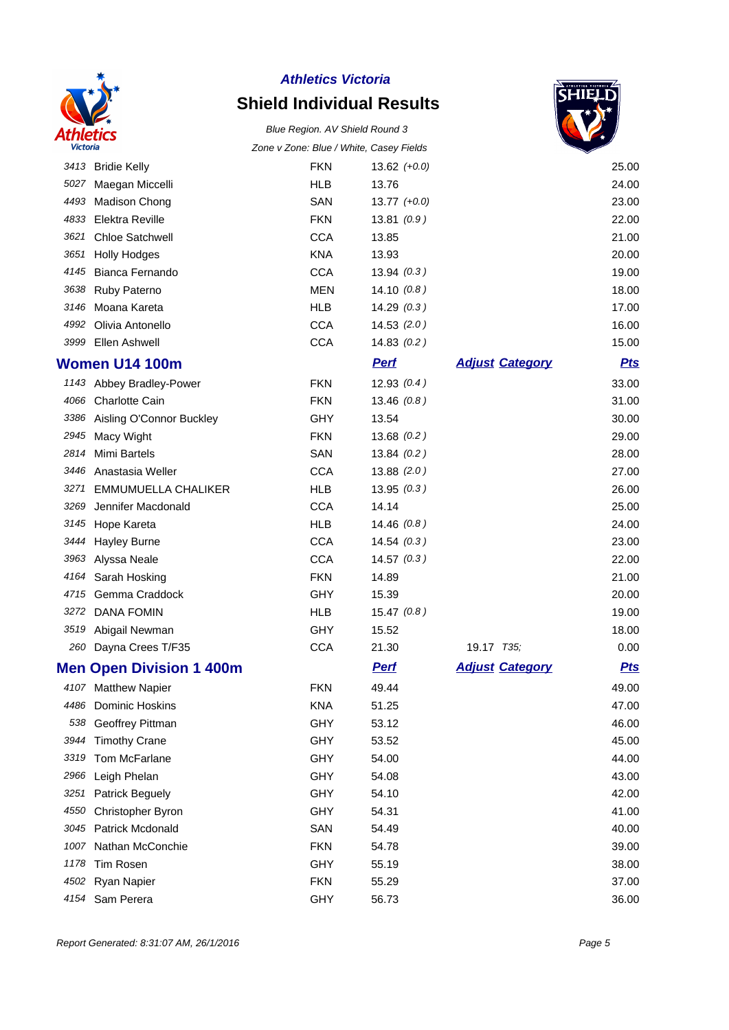

# **Shield Individual Results**



|      |                                 | v Zonc. Didc / writte, Odsey Fictus |                  |                        | ▼          |
|------|---------------------------------|-------------------------------------|------------------|------------------------|------------|
|      | 3413 Bridie Kelly               | <b>FKN</b>                          | $13.62 (+0.0)$   |                        | 25.00      |
|      | 5027 Maegan Miccelli            | <b>HLB</b>                          | 13.76            |                        | 24.00      |
| 4493 | Madison Chong                   | SAN                                 | $13.77$ $(+0.0)$ |                        | 23.00      |
| 4833 | Elektra Reville                 | <b>FKN</b>                          | 13.81(0.9)       |                        | 22.00      |
| 3621 | <b>Chloe Satchwell</b>          | <b>CCA</b>                          | 13.85            |                        | 21.00      |
| 3651 | <b>Holly Hodges</b>             | <b>KNA</b>                          | 13.93            |                        | 20.00      |
| 4145 | Bianca Fernando                 | <b>CCA</b>                          | 13.94(0.3)       |                        | 19.00      |
| 3638 | <b>Ruby Paterno</b>             | <b>MEN</b>                          | 14.10(0.8)       |                        | 18.00      |
|      | 3146 Moana Kareta               | <b>HLB</b>                          | 14.29(0.3)       |                        | 17.00      |
| 4992 | Olivia Antonello                | <b>CCA</b>                          | 14.53(2.0)       |                        | 16.00      |
| 3999 | Ellen Ashwell                   | <b>CCA</b>                          | 14.83(0.2)       |                        | 15.00      |
|      | <b>Women U14 100m</b>           |                                     | <b>Perf</b>      | <b>Adjust Category</b> | <b>Pts</b> |
|      | 1143 Abbey Bradley-Power        | <b>FKN</b>                          | 12.93(0.4)       |                        | 33.00      |
|      | 4066 Charlotte Cain             | <b>FKN</b>                          | 13.46(0.8)       |                        | 31.00      |
| 3386 | Aisling O'Connor Buckley        | GHY                                 | 13.54            |                        | 30.00      |
| 2945 | Macy Wight                      | <b>FKN</b>                          | 13.68(0.2)       |                        | 29.00      |
| 2814 | <b>Mimi Bartels</b>             | SAN                                 | 13.84(0.2)       |                        | 28.00      |
| 3446 | Anastasia Weller                | <b>CCA</b>                          | 13.88(2.0)       |                        | 27.00      |
| 3271 | <b>EMMUMUELLA CHALIKER</b>      | <b>HLB</b>                          | 13.95(0.3)       |                        | 26.00      |
| 3269 | Jennifer Macdonald              | <b>CCA</b>                          | 14.14            |                        | 25.00      |
|      | 3145 Hope Kareta                | <b>HLB</b>                          | 14.46(0.8)       |                        | 24.00      |
| 3444 | <b>Hayley Burne</b>             | <b>CCA</b>                          | 14.54(0.3)       |                        | 23.00      |
| 3963 | Alyssa Neale                    | <b>CCA</b>                          | 14.57(0.3)       |                        | 22.00      |
| 4164 | Sarah Hosking                   | <b>FKN</b>                          | 14.89            |                        | 21.00      |
| 4715 | Gemma Craddock                  | <b>GHY</b>                          | 15.39            |                        | 20.00      |
|      | 3272 DANA FOMIN                 | <b>HLB</b>                          | 15.47(0.8)       |                        | 19.00      |
| 3519 | Abigail Newman                  | <b>GHY</b>                          | 15.52            |                        | 18.00      |
|      | 260 Dayna Crees T/F35           | <b>CCA</b>                          | 21.30            | 19.17 T35;             | 0.00       |
|      | <b>Men Open Division 1 400m</b> |                                     | <b>Perf</b>      | <b>Adjust Category</b> | <b>Pts</b> |
|      | 4107 Matthew Napier             | <b>FKN</b>                          | 49.44            |                        | 49.00      |
| 4486 | Dominic Hoskins                 | <b>KNA</b>                          | 51.25            |                        | 47.00      |
| 538  | Geoffrey Pittman                | GHY                                 | 53.12            |                        | 46.00      |
| 3944 | <b>Timothy Crane</b>            | <b>GHY</b>                          | 53.52            |                        | 45.00      |
| 3319 | Tom McFarlane                   | <b>GHY</b>                          | 54.00            |                        | 44.00      |
| 2966 | Leigh Phelan                    | <b>GHY</b>                          | 54.08            |                        | 43.00      |
| 3251 | Patrick Beguely                 | <b>GHY</b>                          | 54.10            |                        | 42.00      |
| 4550 | Christopher Byron               | <b>GHY</b>                          | 54.31            |                        | 41.00      |
| 3045 | Patrick Mcdonald                | SAN                                 | 54.49            |                        | 40.00      |
| 1007 | Nathan McConchie                | <b>FKN</b>                          | 54.78            |                        | 39.00      |
| 1178 | Tim Rosen                       | <b>GHY</b>                          | 55.19            |                        | 38.00      |
| 4502 | Ryan Napier                     | <b>FKN</b>                          | 55.29            |                        | 37.00      |
| 4154 | Sam Perera                      | GHY                                 | 56.73            |                        | 36.00      |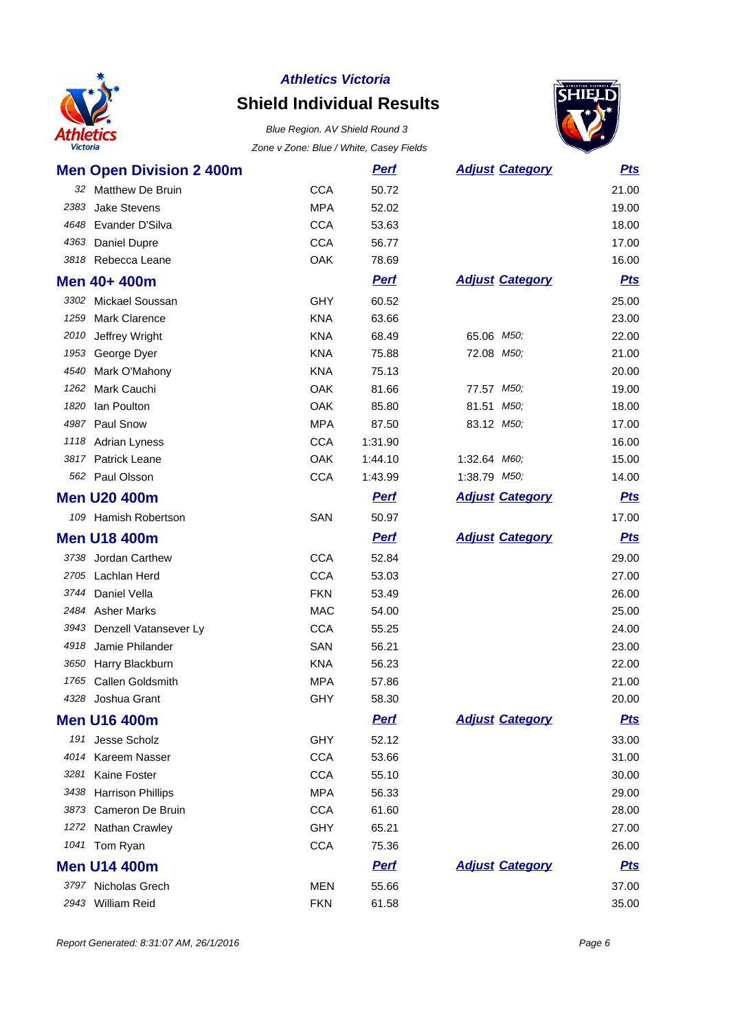

# **Shield Individual Results**



|      | <b>Men Open Division 2 400m</b> |            | <b>Pert</b> | <b>Adjust Category</b> | <u>Pts</u> |
|------|---------------------------------|------------|-------------|------------------------|------------|
|      | 32 Matthew De Bruin             | <b>CCA</b> | 50.72       |                        | 21.00      |
| 2383 | <b>Jake Stevens</b>             | <b>MPA</b> | 52.02       |                        | 19.00      |
| 4648 | Evander D'Silva                 | <b>CCA</b> | 53.63       |                        | 18.00      |
| 4363 | Daniel Dupre                    | <b>CCA</b> | 56.77       |                        | 17.00      |
| 3818 | Rebecca Leane                   | OAK        | 78.69       |                        | 16.00      |
|      | Men 40+ 400m                    |            | <b>Perf</b> | <b>Adjust Category</b> | <b>Pts</b> |
|      | 3302 Mickael Soussan            | GHY        | 60.52       |                        | 25.00      |
| 1259 | <b>Mark Clarence</b>            | <b>KNA</b> | 63.66       |                        | 23.00      |
|      | 2010 Jeffrey Wright             | <b>KNA</b> | 68.49       | 65.06 M50;             | 22.00      |
| 1953 | George Dyer                     | <b>KNA</b> | 75.88       | 72.08 M50;             | 21.00      |
| 4540 | Mark O'Mahony                   | <b>KNA</b> | 75.13       |                        | 20.00      |
| 1262 | Mark Cauchi                     | OAK        | 81.66       | 77.57 M50;             | 19.00      |
| 1820 | Ian Poulton                     | OAK        | 85.80       | 81.51 M50;             | 18.00      |
| 4987 | Paul Snow                       | <b>MPA</b> | 87.50       | 83.12 M50;             | 17.00      |
|      | 1118 Adrian Lyness              | <b>CCA</b> | 1:31.90     |                        | 16.00      |
| 3817 | Patrick Leane                   | OAK        | 1:44.10     | 1:32.64 M60;           | 15.00      |
| 562  | Paul Olsson                     | <b>CCA</b> | 1:43.99     | 1:38.79 M50;           | 14.00      |
|      | <b>Men U20 400m</b>             |            | <b>Perf</b> | <b>Adjust Category</b> | <u>Pts</u> |
|      | 109 Hamish Robertson            | SAN        | 50.97       |                        | 17.00      |
|      | <b>Men U18 400m</b>             |            | <b>Pert</b> | <b>Adjust Category</b> | <b>Pts</b> |
|      |                                 |            |             |                        |            |
|      | 3738 Jordan Carthew             | <b>CCA</b> | 52.84       |                        | 29.00      |
| 2705 | Lachlan Herd                    | <b>CCA</b> | 53.03       |                        | 27.00      |
| 3744 | Daniel Vella                    | <b>FKN</b> | 53.49       |                        | 26.00      |
|      | 2484 Asher Marks                | <b>MAC</b> | 54.00       |                        | 25.00      |
| 3943 | Denzell Vatansever Ly           | <b>CCA</b> | 55.25       |                        | 24.00      |
| 4918 | Jamie Philander                 | SAN        | 56.21       |                        | 23.00      |
|      | 3650 Harry Blackburn            | <b>KNA</b> | 56.23       |                        | 22.00      |
| 1765 | Callen Goldsmith                | <b>MPA</b> | 57.86       |                        | 21.00      |
|      | 4328 Joshua Grant               | <b>GHY</b> | 58.30       |                        | 20.00      |
|      | <b>Men U16 400m</b>             |            | <u>Perf</u> | <b>Adjust Category</b> | <b>Pts</b> |
|      | 191 Jesse Scholz                | <b>GHY</b> | 52.12       |                        | 33.00      |
|      | 4014 Kareem Nasser              | <b>CCA</b> | 53.66       |                        | 31.00      |
| 3281 | Kaine Foster                    | <b>CCA</b> | 55.10       |                        | 30.00      |
|      | 3438 Harrison Phillips          | <b>MPA</b> | 56.33       |                        | 29.00      |
|      | 3873 Cameron De Bruin           | <b>CCA</b> | 61.60       |                        | 28.00      |
|      | 1272 Nathan Crawley             | <b>GHY</b> | 65.21       |                        | 27.00      |
|      | 1041 Tom Ryan                   | <b>CCA</b> | 75.36       |                        | 26.00      |
|      | <b>Men U14 400m</b>             |            | <b>Perf</b> | <b>Adjust Category</b> | <u>Pts</u> |
|      | 3797 Nicholas Grech             | <b>MEN</b> | 55.66       |                        | 37.00      |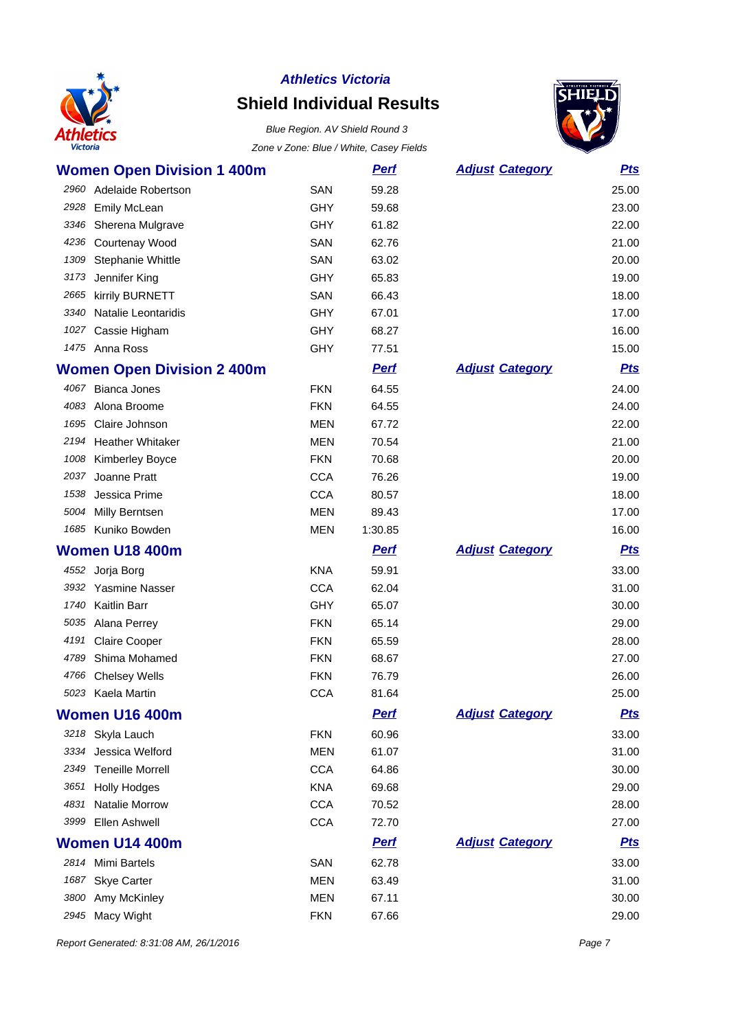

# **Shield Individual Results**



|      | <b>Women Open Division 1 400m</b> |            | <u>Perf</u> | <b>Adjust Category</b> | <b>Pts</b> |
|------|-----------------------------------|------------|-------------|------------------------|------------|
| 2960 | Adelaide Robertson                | <b>SAN</b> | 59.28       |                        | 25.00      |
| 2928 | <b>Emily McLean</b>               | <b>GHY</b> | 59.68       |                        | 23.00      |
| 3346 | Sherena Mulgrave                  | <b>GHY</b> | 61.82       |                        | 22.00      |
|      | 4236 Courtenay Wood               | SAN        | 62.76       |                        | 21.00      |
| 1309 | Stephanie Whittle                 | SAN        | 63.02       |                        | 20.00      |
| 3173 | Jennifer King                     | <b>GHY</b> | 65.83       |                        | 19.00      |
| 2665 | kirrily BURNETT                   | SAN        | 66.43       |                        | 18.00      |
| 3340 | Natalie Leontaridis               | <b>GHY</b> | 67.01       |                        | 17.00      |
| 1027 | Cassie Higham                     | <b>GHY</b> | 68.27       |                        | 16.00      |
|      | 1475 Anna Ross                    | <b>GHY</b> | 77.51       |                        | 15.00      |
|      | <b>Women Open Division 2 400m</b> |            | <b>Perf</b> | <b>Adjust Category</b> | <b>Pts</b> |
|      | 4067 Bianca Jones                 | <b>FKN</b> | 64.55       |                        | 24.00      |
| 4083 | Alona Broome                      | <b>FKN</b> | 64.55       |                        | 24.00      |
| 1695 | Claire Johnson                    | <b>MEN</b> | 67.72       |                        | 22.00      |
|      | 2194 Heather Whitaker             | <b>MEN</b> | 70.54       |                        | 21.00      |
| 1008 | Kimberley Boyce                   | <b>FKN</b> | 70.68       |                        | 20.00      |
| 2037 | Joanne Pratt                      | <b>CCA</b> | 76.26       |                        | 19.00      |
| 1538 | Jessica Prime                     | <b>CCA</b> | 80.57       |                        | 18.00      |
| 5004 | Milly Berntsen                    | <b>MEN</b> | 89.43       |                        | 17.00      |
|      | 1685 Kuniko Bowden                | <b>MEN</b> | 1:30.85     |                        | 16.00      |
|      |                                   |            |             |                        |            |
|      | Women U18 400m                    |            | <u>Perf</u> | <b>Adjust Category</b> | <b>Pts</b> |
|      | 4552 Jorja Borg                   | <b>KNA</b> | 59.91       |                        | 33.00      |
|      | 3932 Yasmine Nasser               | <b>CCA</b> | 62.04       |                        | 31.00      |
| 1740 | <b>Kaitlin Barr</b>               | <b>GHY</b> | 65.07       |                        | 30.00      |
| 5035 | Alana Perrey                      | <b>FKN</b> | 65.14       |                        | 29.00      |
| 4191 | <b>Claire Cooper</b>              | <b>FKN</b> | 65.59       |                        | 28.00      |
| 4789 | Shima Mohamed                     | <b>FKN</b> | 68.67       |                        | 27.00      |
| 4766 | <b>Chelsey Wells</b>              | <b>FKN</b> | 76.79       |                        | 26.00      |
|      | 5023 Kaela Martin                 | <b>CCA</b> | 81.64       |                        | 25.00      |
|      | <b>Women U16 400m</b>             |            | <u>Perf</u> | <b>Adjust Category</b> | <u>Pts</u> |
|      | 3218 Skyla Lauch                  | <b>FKN</b> | 60.96       |                        | 33.00      |
|      | 3334 Jessica Welford              | <b>MEN</b> | 61.07       |                        | 31.00      |
| 2349 | <b>Teneille Morrell</b>           | <b>CCA</b> | 64.86       |                        | 30.00      |
| 3651 | <b>Holly Hodges</b>               | <b>KNA</b> | 69.68       |                        | 29.00      |
| 4831 | Natalie Morrow                    | <b>CCA</b> | 70.52       |                        | 28.00      |
| 3999 | Ellen Ashwell                     | <b>CCA</b> | 72.70       |                        | 27.00      |
|      | Women U14 400m                    |            | <b>Perf</b> | <b>Adjust Category</b> | <b>Pts</b> |
|      | 2814 Mimi Bartels                 | SAN        | 62.78       |                        | 33.00      |
| 1687 | <b>Skye Carter</b>                | <b>MEN</b> | 63.49       |                        | 31.00      |
| 3800 | Amy McKinley                      | <b>MEN</b> | 67.11       |                        | 30.00      |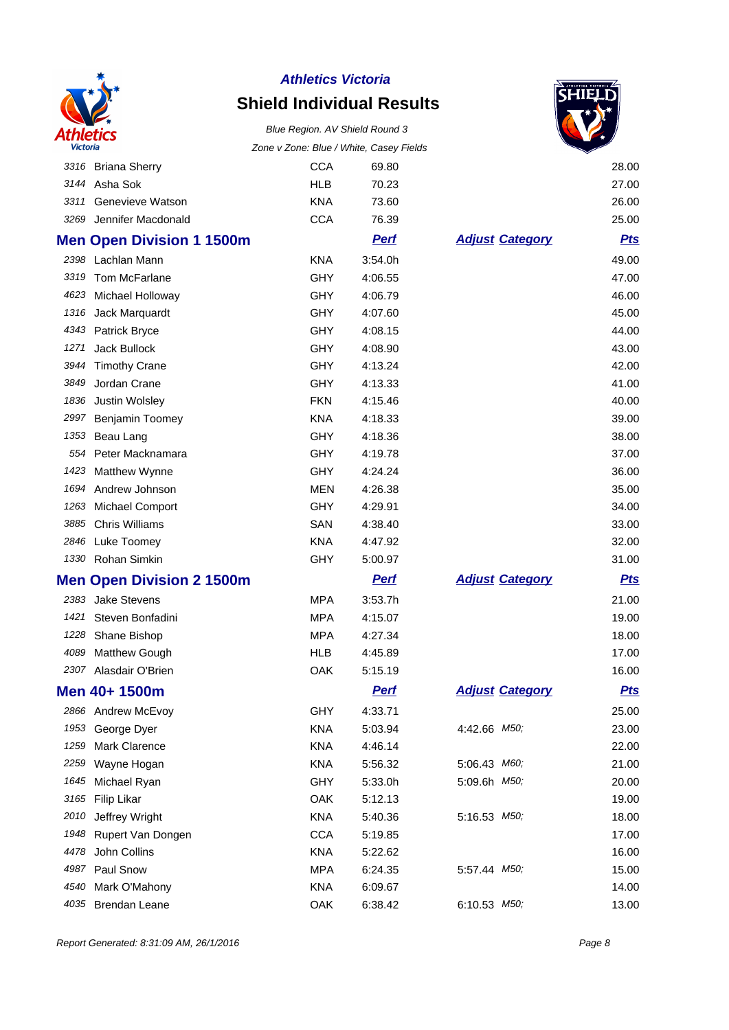

# **Shield Individual Results**

Blue Region. AV Shield Round 3



| <b>Victoria</b> |                                  | Zone v Zone: Blue / White, Casey Fields |             |                        |            |
|-----------------|----------------------------------|-----------------------------------------|-------------|------------------------|------------|
|                 | 3316 Briana Sherry               | <b>CCA</b>                              | 69.80       |                        | 28.00      |
|                 | 3144 Asha Sok                    | <b>HLB</b>                              | 70.23       |                        | 27.00      |
| 3311            | Genevieve Watson                 | <b>KNA</b>                              | 73.60       |                        | 26.00      |
| 3269            | Jennifer Macdonald               | <b>CCA</b>                              | 76.39       |                        | 25.00      |
|                 | <b>Men Open Division 1 1500m</b> |                                         | <b>Pert</b> | <b>Adjust Category</b> | <b>Pts</b> |
|                 | 2398 Lachlan Mann                | <b>KNA</b>                              | 3:54.0h     |                        | 49.00      |
| 3319            | <b>Tom McFarlane</b>             | GHY                                     | 4:06.55     |                        | 47.00      |
|                 | 4623 Michael Holloway            | <b>GHY</b>                              | 4:06.79     |                        | 46.00      |
| 1316            | Jack Marquardt                   | <b>GHY</b>                              | 4:07.60     |                        | 45.00      |
|                 | 4343 Patrick Bryce               | <b>GHY</b>                              | 4:08.15     |                        | 44.00      |
| 1271            | Jack Bullock                     | <b>GHY</b>                              | 4:08.90     |                        | 43.00      |
| 3944            | <b>Timothy Crane</b>             | GHY                                     | 4:13.24     |                        | 42.00      |
| 3849            | Jordan Crane                     | <b>GHY</b>                              | 4:13.33     |                        | 41.00      |
| 1836            | Justin Wolsley                   | <b>FKN</b>                              | 4:15.46     |                        | 40.00      |
| 2997            | Benjamin Toomey                  | <b>KNA</b>                              | 4:18.33     |                        | 39.00      |
|                 | 1353 Beau Lang                   | <b>GHY</b>                              | 4:18.36     |                        | 38.00      |
|                 | 554 Peter Macknamara             | <b>GHY</b>                              | 4:19.78     |                        | 37.00      |
| 1423            | Matthew Wynne                    | <b>GHY</b>                              | 4:24.24     |                        | 36.00      |
| 1694            | Andrew Johnson                   | <b>MEN</b>                              | 4:26.38     |                        | 35.00      |
| 1263            | <b>Michael Comport</b>           | GHY                                     | 4:29.91     |                        | 34.00      |
| 3885            | <b>Chris Williams</b>            | SAN                                     | 4:38.40     |                        | 33.00      |
|                 | 2846 Luke Toomey                 | <b>KNA</b>                              | 4:47.92     |                        | 32.00      |
|                 | 1330 Rohan Simkin                | GHY                                     | 5:00.97     |                        | 31.00      |
|                 | <b>Men Open Division 2 1500m</b> |                                         | <b>Perf</b> | <b>Adjust Category</b> | <u>Pts</u> |
|                 | 2383 Jake Stevens                | <b>MPA</b>                              | 3:53.7h     |                        | 21.00      |
| 1421            | Steven Bonfadini                 | <b>MPA</b>                              | 4:15.07     |                        | 19.00      |
|                 | 1228 Shane Bishop                | <b>MPA</b>                              | 4:27.34     |                        | 18.00      |
| 4089            | <b>Matthew Gough</b>             | <b>HLB</b>                              | 4:45.89     |                        | 17.00      |
| 2307            | Alasdair O'Brien                 | OAK                                     | 5:15.19     |                        | 16.00      |
|                 | Men 40+ 1500m                    |                                         | <u>Perf</u> | <b>Adjust Category</b> | <u>Pts</u> |
|                 | 2866 Andrew McEvoy               | <b>GHY</b>                              | 4:33.71     |                        | 25.00      |
| 1953            | George Dyer                      | <b>KNA</b>                              | 5:03.94     | 4:42.66 M50;           | 23.00      |
| 1259            | <b>Mark Clarence</b>             | <b>KNA</b>                              | 4:46.14     |                        | 22.00      |
| 2259            | Wayne Hogan                      | <b>KNA</b>                              | 5:56.32     | 5:06.43 M60;           | 21.00      |
| 1645            | Michael Ryan                     | <b>GHY</b>                              | 5:33.0h     | 5:09.6h M50;           | 20.00      |
| 3165            | <b>Filip Likar</b>               | OAK                                     | 5:12.13     |                        | 19.00      |
| 2010            | Jeffrey Wright                   | <b>KNA</b>                              | 5:40.36     | 5:16.53 M50;           | 18.00      |
| 1948            | Rupert Van Dongen                | <b>CCA</b>                              | 5:19.85     |                        | 17.00      |
| 4478            | John Collins                     | <b>KNA</b>                              | 5:22.62     |                        | 16.00      |
| 4987            | Paul Snow                        | <b>MPA</b>                              | 6:24.35     | 5:57.44 M50,           | 15.00      |
| 4540            | Mark O'Mahony                    | KNA                                     | 6:09.67     |                        | 14.00      |
| 4035            | <b>Brendan Leane</b>             | OAK                                     | 6:38.42     | 6:10.53 M50;           | 13.00      |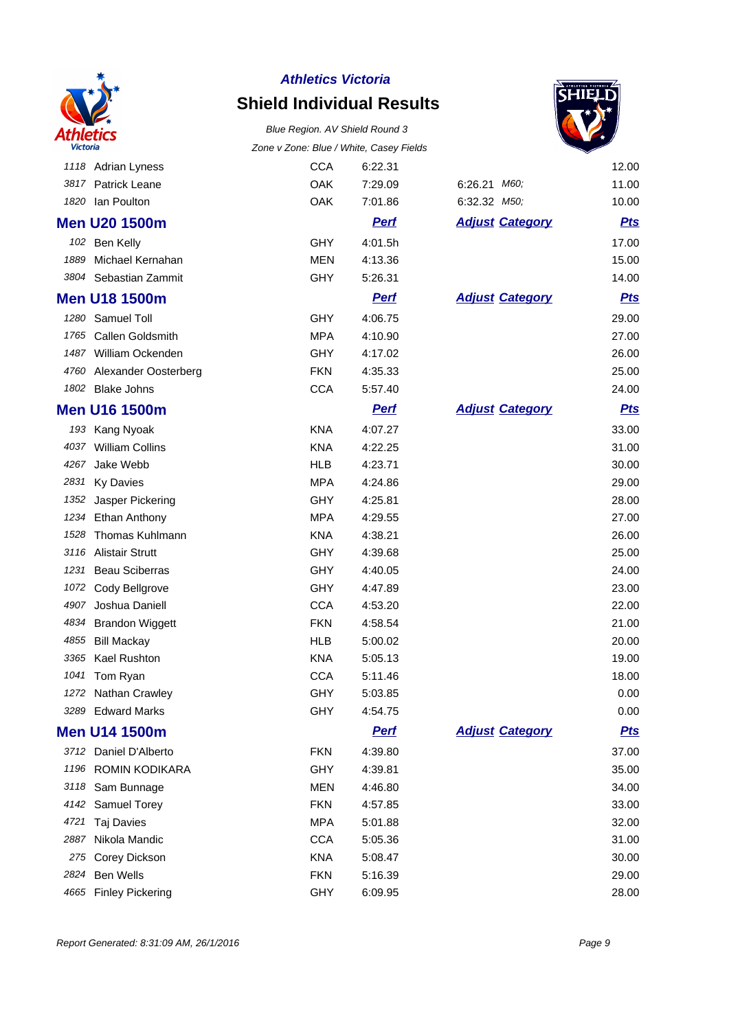

# **Shield Individual Results**





|      | 1118 Adrian Lyness      | <b>CCA</b> | 6:22.31     |                        | 12.00      |
|------|-------------------------|------------|-------------|------------------------|------------|
| 3817 | <b>Patrick Leane</b>    | OAK        | 7:29.09     | 6:26.21 M60;           | 11.00      |
| 1820 | lan Poulton             | OAK        | 7:01.86     | 6:32.32 M50;           | 10.00      |
|      | <b>Men U20 1500m</b>    |            | <b>Perf</b> | <b>Adjust Category</b> | <b>Pts</b> |
|      | 102 Ben Kelly           | GHY        | 4:01.5h     |                        | 17.00      |
| 1889 | Michael Kernahan        | <b>MEN</b> | 4:13.36     |                        | 15.00      |
|      | 3804 Sebastian Zammit   | GHY        | 5:26.31     |                        | 14.00      |
|      | <b>Men U18 1500m</b>    |            | <b>Perf</b> | <b>Adjust Category</b> | <b>Pts</b> |
| 1280 | Samuel Toll             | GHY        | 4:06.75     |                        | 29.00      |
| 1765 | <b>Callen Goldsmith</b> | <b>MPA</b> | 4:10.90     |                        | 27.00      |
|      | 1487 William Ockenden   | GHY        | 4:17.02     |                        | 26.00      |
| 4760 | Alexander Oosterberg    | <b>FKN</b> | 4:35.33     |                        | 25.00      |
| 1802 | <b>Blake Johns</b>      | <b>CCA</b> | 5:57.40     |                        | 24.00      |
|      | <b>Men U16 1500m</b>    |            | <b>Pert</b> | <b>Adjust Category</b> | <b>Pts</b> |
|      | 193 Kang Nyoak          | <b>KNA</b> | 4:07.27     |                        | 33.00      |
| 4037 | <b>William Collins</b>  | <b>KNA</b> | 4:22.25     |                        | 31.00      |
| 4267 | Jake Webb               | <b>HLB</b> | 4:23.71     |                        | 30.00      |
| 2831 | <b>Ky Davies</b>        | <b>MPA</b> | 4:24.86     |                        | 29.00      |
| 1352 | Jasper Pickering        | GHY        | 4:25.81     |                        | 28.00      |
| 1234 | Ethan Anthony           | <b>MPA</b> | 4:29.55     |                        | 27.00      |
| 1528 | <b>Thomas Kuhlmann</b>  | <b>KNA</b> | 4:38.21     |                        | 26.00      |
| 3116 | <b>Alistair Strutt</b>  | GHY        | 4:39.68     |                        | 25.00      |
| 1231 | <b>Beau Sciberras</b>   | GHY        | 4:40.05     |                        | 24.00      |
| 1072 | Cody Bellgrove          | GHY        | 4:47.89     |                        | 23.00      |
| 4907 | Joshua Daniell          | <b>CCA</b> | 4:53.20     |                        | 22.00      |
| 4834 | <b>Brandon Wiggett</b>  | <b>FKN</b> | 4:58.54     |                        | 21.00      |
| 4855 | <b>Bill Mackay</b>      | <b>HLB</b> | 5:00.02     |                        | 20.00      |
| 3365 | Kael Rushton            | <b>KNA</b> | 5:05.13     |                        | 19.00      |
| 1041 | Tom Ryan                | <b>CCA</b> | 5:11.46     |                        | 18.00      |
|      | 1272 Nathan Crawley     | GHY        | 5:03.85     |                        | 0.00       |
|      | 3289 Edward Marks       | <b>GHY</b> | 4:54.75     |                        | 0.00       |
|      | <b>Men U14 1500m</b>    |            | <b>Pert</b> | <b>Adjust Category</b> | <b>Pts</b> |
|      | 3712 Daniel D'Alberto   | <b>FKN</b> | 4:39.80     |                        | 37.00      |
|      | 1196 ROMIN KODIKARA     | GHY        | 4:39.81     |                        | 35.00      |
| 3118 | Sam Bunnage             | <b>MEN</b> | 4:46.80     |                        | 34.00      |
| 4142 | Samuel Torey            | <b>FKN</b> | 4:57.85     |                        | 33.00      |
| 4721 | Taj Davies              | <b>MPA</b> | 5:01.88     |                        | 32.00      |
| 2887 | Nikola Mandic           | <b>CCA</b> | 5:05.36     |                        | 31.00      |
| 275  | Corey Dickson           | <b>KNA</b> | 5:08.47     |                        | 30.00      |
| 2824 | Ben Wells               | <b>FKN</b> | 5:16.39     |                        | 29.00      |
| 4665 | <b>Finley Pickering</b> | <b>GHY</b> | 6:09.95     |                        | 28.00      |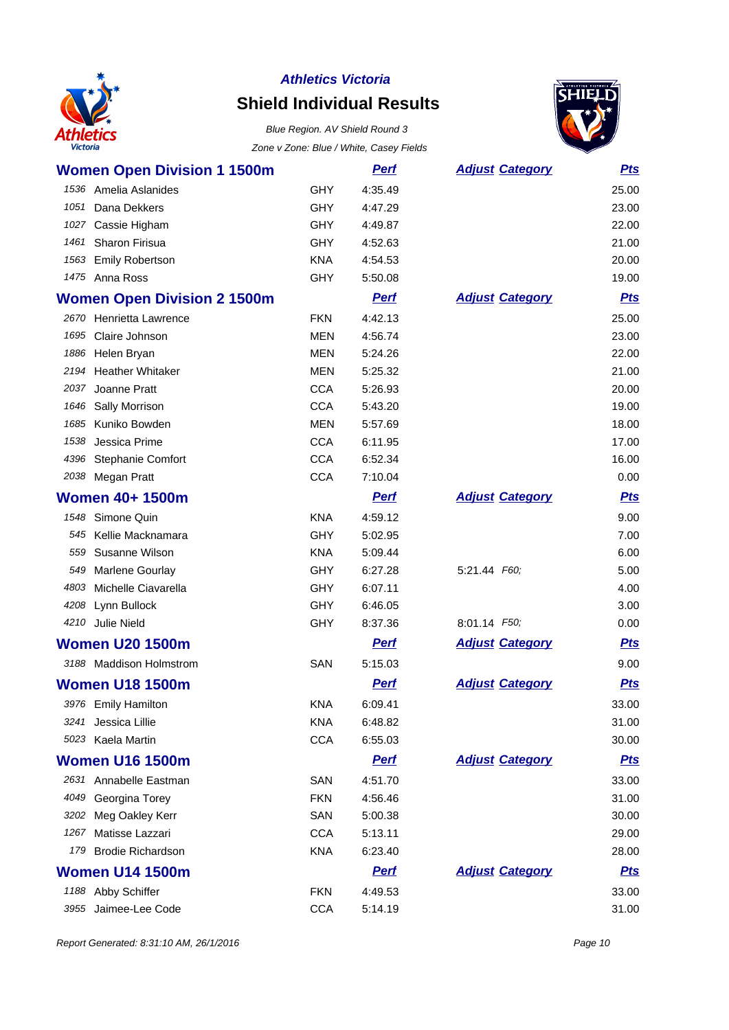

# **Shield Individual Results**



|      | <b>Women Open Division 1 1500m</b> |            | <b>Pert</b> | <b>Adjust Category</b> | <u>Pts</u> |
|------|------------------------------------|------------|-------------|------------------------|------------|
|      | 1536 Amelia Aslanides              | <b>GHY</b> | 4:35.49     |                        | 25.00      |
| 1051 | Dana Dekkers                       | <b>GHY</b> | 4:47.29     |                        | 23.00      |
| 1027 | Cassie Higham                      | <b>GHY</b> | 4:49.87     |                        | 22.00      |
| 1461 | Sharon Firisua                     | <b>GHY</b> | 4:52.63     |                        | 21.00      |
| 1563 | <b>Emily Robertson</b>             | <b>KNA</b> | 4:54.53     |                        | 20.00      |
|      | 1475 Anna Ross                     | <b>GHY</b> | 5:50.08     |                        | 19.00      |
|      | <b>Women Open Division 2 1500m</b> |            | <b>Perf</b> | <b>Adjust Category</b> | <b>Pts</b> |
| 2670 | Henrietta Lawrence                 | <b>FKN</b> | 4:42.13     |                        | 25.00      |
| 1695 | Claire Johnson                     | <b>MEN</b> | 4:56.74     |                        | 23.00      |
| 1886 | Helen Bryan                        | <b>MEN</b> | 5:24.26     |                        | 22.00      |
| 2194 | <b>Heather Whitaker</b>            | <b>MEN</b> | 5:25.32     |                        | 21.00      |
| 2037 | Joanne Pratt                       | <b>CCA</b> | 5:26.93     |                        | 20.00      |
| 1646 | Sally Morrison                     | <b>CCA</b> | 5:43.20     |                        | 19.00      |
| 1685 | Kuniko Bowden                      | <b>MEN</b> | 5:57.69     |                        | 18.00      |
| 1538 | Jessica Prime                      | <b>CCA</b> | 6:11.95     |                        | 17.00      |
| 4396 | <b>Stephanie Comfort</b>           | <b>CCA</b> | 6:52.34     |                        | 16.00      |
| 2038 | Megan Pratt                        | <b>CCA</b> | 7:10.04     |                        | 0.00       |
|      | <b>Women 40+ 1500m</b>             |            | <u>Perf</u> | <b>Adjust Category</b> | <u>Pts</u> |
| 1548 | Simone Quin                        | <b>KNA</b> | 4:59.12     |                        | 9.00       |
| 545  | Kellie Macknamara                  | <b>GHY</b> | 5:02.95     |                        | 7.00       |
| 559  | Susanne Wilson                     | <b>KNA</b> | 5:09.44     |                        | 6.00       |
| 549  | <b>Marlene Gourlay</b>             | <b>GHY</b> | 6:27.28     | 5:21.44 F60;           | 5.00       |
| 4803 | Michelle Ciavarella                | <b>GHY</b> | 6:07.11     |                        | 4.00       |
| 4208 | Lynn Bullock                       | <b>GHY</b> | 6:46.05     |                        | 3.00       |
| 4210 | Julie Nield                        | <b>GHY</b> | 8:37.36     | 8:01.14 F50;           | 0.00       |
|      | <b>Women U20 1500m</b>             |            | <b>Perf</b> | <b>Adjust Category</b> | <u>Pts</u> |
|      | 3188 Maddison Holmstrom            | SAN        | 5:15.03     |                        | 9.00       |
|      | <b>Women U18 1500m</b>             |            | <b>Pert</b> | <b>Adjust Category</b> | <b>Pts</b> |
|      | 3976 Emily Hamilton                | KNA        | 6:09.41     |                        | 33.00      |
| 3241 | Jessica Lillie                     | <b>KNA</b> | 6:48.82     |                        | 31.00      |
|      | 5023 Kaela Martin                  | <b>CCA</b> | 6:55.03     |                        | 30.00      |
|      | <b>Women U16 1500m</b>             |            | <b>Pert</b> | <b>Adjust Category</b> | <b>Pts</b> |
|      | 2631 Annabelle Eastman             | SAN        | 4:51.70     |                        | 33.00      |
| 4049 | Georgina Torey                     | <b>FKN</b> | 4:56.46     |                        | 31.00      |
| 3202 | Meg Oakley Kerr                    | SAN        | 5:00.38     |                        | 30.00      |
| 1267 | Matisse Lazzari                    | <b>CCA</b> | 5:13.11     |                        | 29.00      |
| 179  | <b>Brodie Richardson</b>           | <b>KNA</b> | 6:23.40     |                        | 28.00      |
|      | <b>Women U14 1500m</b>             |            | <b>Perf</b> | <b>Adjust Category</b> | <u>Pts</u> |
|      | 1188 Abby Schiffer                 | <b>FKN</b> | 4:49.53     |                        | 33.00      |
| 3955 | Jaimee-Lee Code                    | <b>CCA</b> | 5:14.19     |                        | 31.00      |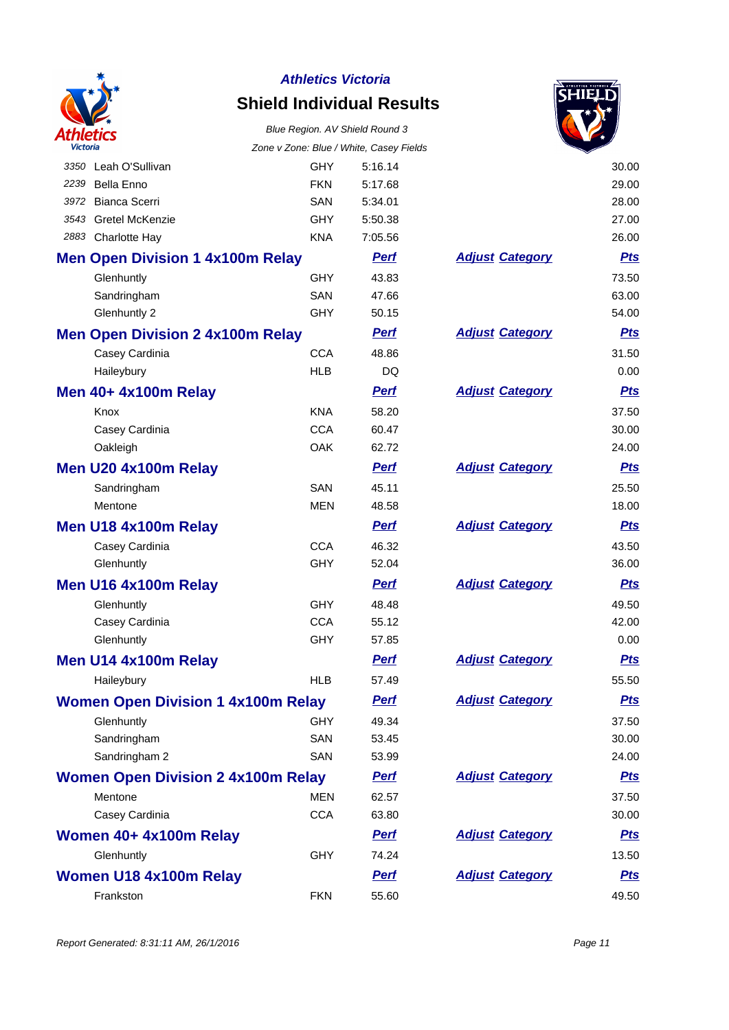

# **Shield Individual Results**

# Blue Region. AV Shield Round 3



| <b>Victoria</b>                           | Zone v Zone: Blue / White, Casey Fields |             |                        |            |
|-------------------------------------------|-----------------------------------------|-------------|------------------------|------------|
| 3350 Leah O'Sullivan                      | <b>GHY</b>                              | 5:16.14     |                        | 30.00      |
| 2239<br><b>Bella Enno</b>                 | <b>FKN</b>                              | 5:17.68     |                        | 29.00      |
| Bianca Scerri<br>3972                     | <b>SAN</b>                              | 5:34.01     |                        | 28.00      |
| 3543 Gretel McKenzie                      | <b>GHY</b>                              | 5:50.38     |                        | 27.00      |
| 2883 Charlotte Hay                        | <b>KNA</b>                              | 7:05.56     |                        | 26.00      |
| <b>Men Open Division 1 4x100m Relay</b>   |                                         | <b>Perf</b> | <b>Adjust Category</b> | <u>Pts</u> |
| Glenhuntly                                | <b>GHY</b>                              | 43.83       |                        | 73.50      |
| Sandringham                               | <b>SAN</b>                              | 47.66       |                        | 63.00      |
| Glenhuntly 2                              | GHY                                     | 50.15       |                        | 54.00      |
| <b>Men Open Division 2 4x100m Relay</b>   |                                         | <b>Perf</b> | <b>Adjust Category</b> | <u>Pts</u> |
| Casey Cardinia                            | <b>CCA</b>                              | 48.86       |                        | 31.50      |
| Haileybury                                | <b>HLB</b>                              | DQ          |                        | 0.00       |
| <b>Men 40+ 4x100m Relay</b>               |                                         | <b>Perf</b> | <b>Adjust Category</b> | <b>Pts</b> |
| Knox                                      | <b>KNA</b>                              | 58.20       |                        | 37.50      |
| Casey Cardinia                            | <b>CCA</b>                              | 60.47       |                        | 30.00      |
| Oakleigh                                  | OAK                                     | 62.72       |                        | 24.00      |
| Men U20 4x100m Relay                      |                                         | <b>Perf</b> | <b>Adjust Category</b> | <u>Pts</u> |
| Sandringham                               | <b>SAN</b>                              | 45.11       |                        | 25.50      |
| Mentone                                   | MEN                                     | 48.58       |                        | 18.00      |
| Men U18 4x100m Relay                      |                                         | <b>Perf</b> | <b>Adjust Category</b> | <u>Pts</u> |
| Casey Cardinia                            | <b>CCA</b>                              | 46.32       |                        | 43.50      |
| Glenhuntly                                | GHY                                     | 52.04       |                        | 36.00      |
| Men U16 4x100m Relay                      |                                         | <b>Perf</b> | <b>Adjust Category</b> | <u>Pts</u> |
| Glenhuntly                                | <b>GHY</b>                              | 48.48       |                        | 49.50      |
| Casey Cardinia                            | <b>CCA</b>                              | 55.12       |                        | 42.00      |
| Glenhuntly                                | GHY                                     | 57.85       |                        | 0.00       |
| Men U14 4x100m Relay                      |                                         | <b>Perf</b> | <b>Adjust Category</b> | <u>Pts</u> |
| Haileybury                                | <b>HLB</b>                              | 57.49       |                        | 55.50      |
| <b>Women Open Division 1 4x100m Relay</b> |                                         | <b>Perf</b> | <b>Adjust Category</b> | <u>Pts</u> |
| Glenhuntly                                | <b>GHY</b>                              | 49.34       |                        | 37.50      |
| Sandringham                               | SAN                                     | 53.45       |                        | 30.00      |
| Sandringham 2                             | SAN                                     | 53.99       |                        | 24.00      |
| <b>Women Open Division 2 4x100m Relay</b> |                                         | <b>Perf</b> | <b>Adjust Category</b> | <b>Pts</b> |
| Mentone                                   | <b>MEN</b>                              | 62.57       |                        | 37.50      |
| Casey Cardinia                            | <b>CCA</b>                              | 63.80       |                        | 30.00      |
| Women 40+ 4x100m Relay                    |                                         | <b>Perf</b> | <b>Adjust Category</b> | <b>Pts</b> |
| Glenhuntly                                | <b>GHY</b>                              | 74.24       |                        | 13.50      |
| Women U18 4x100m Relay                    |                                         | <b>Perf</b> | <b>Adjust Category</b> | <b>Pts</b> |
| Frankston                                 | <b>FKN</b>                              | 55.60       |                        | 49.50      |
|                                           |                                         |             |                        |            |

|                        | 30.00      |
|------------------------|------------|
|                        | 29.00      |
|                        | 28.00      |
|                        | 27.00      |
|                        | 26.00      |
| <b>Adjust Category</b> | <u>Pts</u> |
|                        | 73.50      |
|                        | 63.00      |
|                        | 54.00      |
| <b>Adjust Category</b> | <u>Pts</u> |
|                        | 31.50      |
|                        | 0.00       |
| <b>Adjust Category</b> | <u>Pts</u> |
|                        | 37.50      |
|                        | 30.00      |
|                        | 24.00      |
| <b>Adjust Category</b> | <u>Pts</u> |
|                        | 25.50      |
|                        | 18.00      |
| <b>Adjust Category</b> | <u>Pts</u> |
|                        | 43.50      |
|                        | 36.00      |
| <b>Adjust Category</b> | <u>Pts</u> |
|                        | 49.50      |
|                        | 42.00      |
|                        | 0.00       |
| <b>Adjust Category</b> | <u>Pts</u> |
|                        | 55.50      |
| <b>Adjust Category</b> | <u>Pts</u> |
|                        | 37.50      |
|                        | 30.00      |
|                        | 24.00      |
| <b>Adjust Category</b> | <u>Pts</u> |
|                        | 37.50      |
|                        | 30.00      |
| <b>Adjust Category</b> | <u>Pts</u> |
|                        | 13.50      |
| <b>Adjust Category</b> | <u>Pts</u> |
|                        | 49.50      |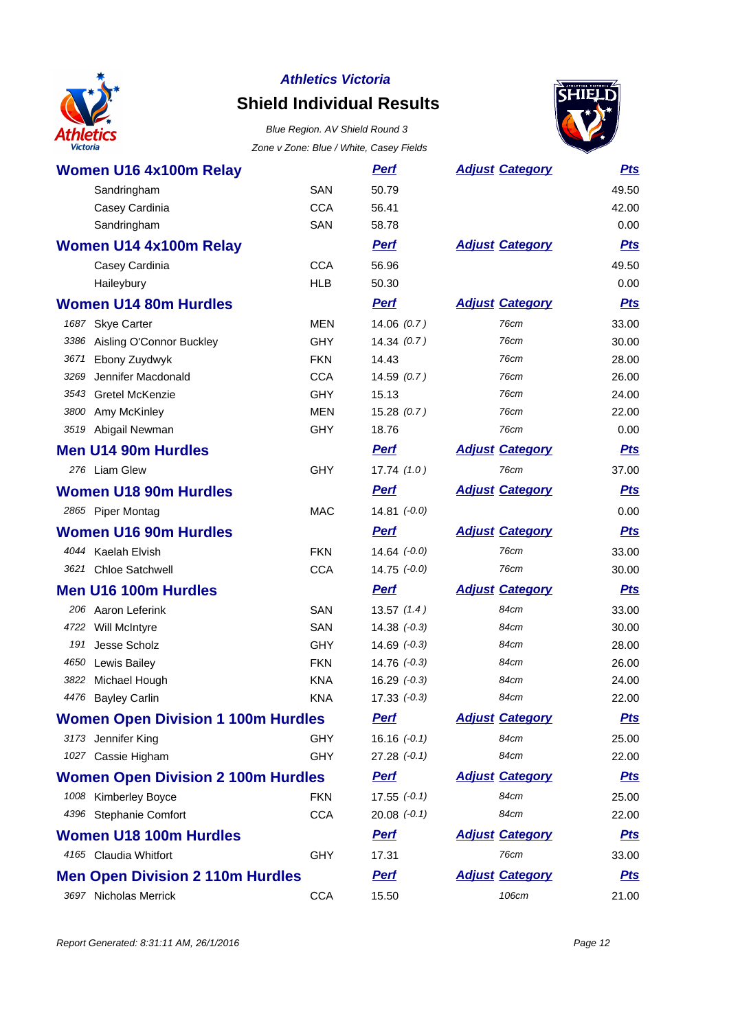

# **Shield Individual Results**



| Women U16 4x100m Relay                    |            | <b>Perf</b>      | <b>Adjust Category</b> | <u>Pts</u> |
|-------------------------------------------|------------|------------------|------------------------|------------|
| Sandringham                               | <b>SAN</b> | 50.79            |                        | 49.50      |
| Casey Cardinia                            | <b>CCA</b> | 56.41            |                        | 42.00      |
| Sandringham                               | <b>SAN</b> | 58.78            |                        | 0.00       |
| <b>Women U14 4x100m Relay</b>             |            | <b>Perf</b>      | <b>Adjust Category</b> | <b>Pts</b> |
| Casey Cardinia                            | <b>CCA</b> | 56.96            |                        | 49.50      |
| Haileybury                                | <b>HLB</b> | 50.30            |                        | 0.00       |
| <b>Women U14 80m Hurdles</b>              |            | <b>Perf</b>      | <b>Adjust Category</b> | <b>Pts</b> |
| 1687 Skye Carter                          | <b>MEN</b> | 14.06(0.7)       | 76cm                   | 33.00      |
| 3386 Aisling O'Connor Buckley             | <b>GHY</b> | 14.34(0.7)       | 76cm                   | 30.00      |
| Ebony Zuydwyk<br>3671                     | <b>FKN</b> | 14.43            | 76cm                   | 28.00      |
| 3269<br>Jennifer Macdonald                | <b>CCA</b> | 14.59(0.7)       | 76cm                   | 26.00      |
| 3543 Gretel McKenzie                      | <b>GHY</b> | 15.13            | 76cm                   | 24.00      |
| 3800 Amy McKinley                         | <b>MEN</b> | 15.28(0.7)       | 76cm                   | 22.00      |
| 3519 Abigail Newman                       | <b>GHY</b> | 18.76            | 76cm                   | 0.00       |
| <b>Men U14 90m Hurdles</b>                |            | <b>Perf</b>      | <b>Adjust Category</b> | <u>Pts</u> |
| 276 Liam Glew                             | <b>GHY</b> | 17.74(1.0)       | 76cm                   | 37.00      |
| <b>Women U18 90m Hurdles</b>              |            | <b>Perf</b>      | <b>Adjust Category</b> | <b>Pts</b> |
| 2865 Piper Montag                         | <b>MAC</b> | $14.81 (-0.0)$   |                        | 0.00       |
| <b>Women U16 90m Hurdles</b>              |            | <b>Perf</b>      | <b>Adjust Category</b> | <u>Pts</u> |
| 4044 Kaelah Elvish                        | <b>FKN</b> | $14.64$ $(-0.0)$ | 76cm                   | 33.00      |
| 3621 Chloe Satchwell                      | <b>CCA</b> | $14.75$ $(-0.0)$ | 76cm                   | 30.00      |
| <b>Men U16 100m Hurdles</b>               |            | <b>Perf</b>      | <b>Adjust Category</b> | <u>Pts</u> |
| 206 Aaron Leferink                        | SAN        | 13.57(1.4)       | 84cm                   | 33.00      |
| 4722 Will McIntyre                        | SAN        | $14.38 (-0.3)$   | 84cm                   | 30.00      |
| 191<br>Jesse Scholz                       | <b>GHY</b> | $14.69$ $(-0.3)$ | 84cm                   | 28.00      |
| 4650 Lewis Bailey                         | <b>FKN</b> | $14.76 (-0.3)$   | 84cm                   | 26.00      |
| 3822 Michael Hough                        | <b>KNA</b> | $16.29 (-0.3)$   | 84cm                   | 24.00      |
| 4476 Bayley Carlin                        | <b>KNA</b> | $17.33 (-0.3)$   | 84cm                   | 22.00      |
| <b>Women Open Division 1 100m Hurdles</b> |            | <b>Perf</b>      | <b>Adjust Category</b> | <u>Pts</u> |
| 3173 Jennifer King                        | <b>GHY</b> | $16.16 (-0.1)$   | 84cm                   | 25.00      |
| 1027 Cassie Higham                        | <b>GHY</b> | $27.28 (-0.1)$   | 84cm                   | 22.00      |
| <b>Women Open Division 2 100m Hurdles</b> |            | <b>Perf</b>      | <b>Adjust Category</b> | <u>Pts</u> |
| 1008 Kimberley Boyce                      | <b>FKN</b> | $17.55 (-0.1)$   | 84cm                   | 25.00      |
| 4396 Stephanie Comfort                    | <b>CCA</b> | $20.08 (-0.1)$   | 84cm                   | 22.00      |
| <b>Women U18 100m Hurdles</b>             |            | <b>Perf</b>      | <b>Adjust Category</b> | <u>Pts</u> |
| 4165 Claudia Whitfort                     | <b>GHY</b> | 17.31            | 76cm                   | 33.00      |
| <b>Men Open Division 2 110m Hurdles</b>   |            | <b>Pert</b>      | <b>Adjust Category</b> | <u>Pts</u> |
| 3697 Nicholas Merrick                     | <b>CCA</b> | 15.50            | 106cm                  | 21.00      |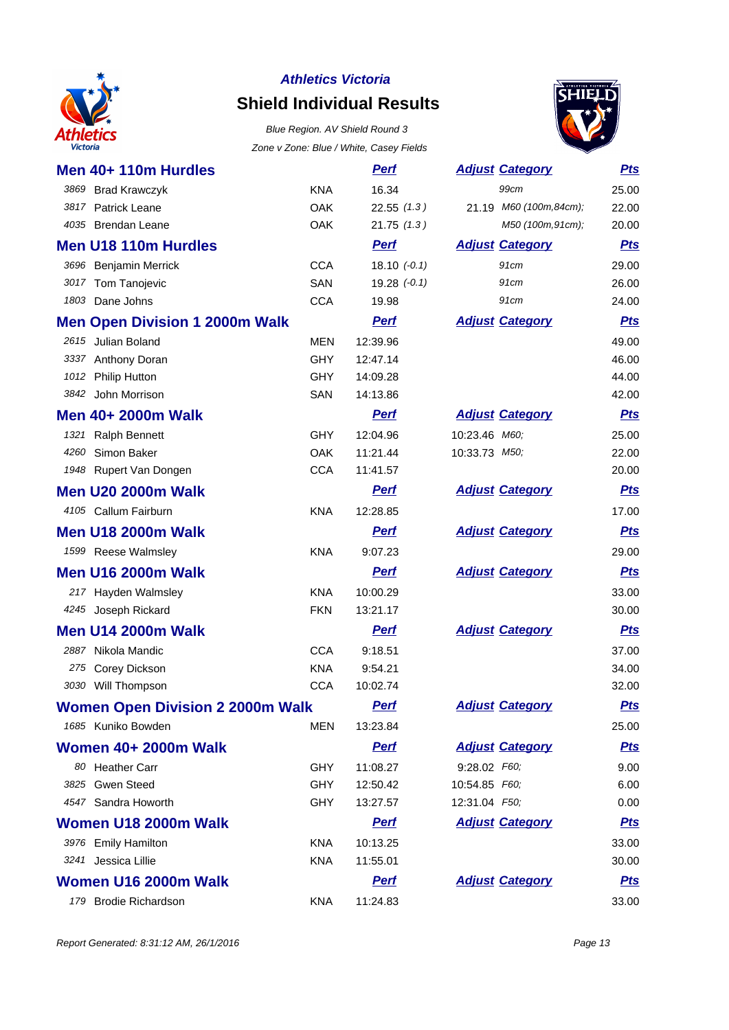

# **Shield Individual Results**



| Men 40+ 110m Hurdles                    |            | <u>Perf</u>    |               | <b>Adjust Category</b> | <u>Pts</u> |
|-----------------------------------------|------------|----------------|---------------|------------------------|------------|
| 3869<br><b>Brad Krawczyk</b>            | <b>KNA</b> | 16.34          |               | 99cm                   | 25.00      |
| 3817 Patrick Leane                      | <b>OAK</b> | 22.55(1.3)     |               | 21.19 M60 (100m,84cm); | 22.00      |
| 4035 Brendan Leane                      | <b>OAK</b> | 21.75(1.3)     |               | M50 (100m, 91cm);      | 20.00      |
| <b>Men U18 110m Hurdles</b>             |            | <b>Perf</b>    |               | <b>Adjust Category</b> | <b>Pts</b> |
| 3696 Benjamin Merrick                   | <b>CCA</b> | 18.10 $(-0.1)$ |               | 91cm                   | 29.00      |
| 3017 Tom Tanojevic                      | SAN        | $19.28 (-0.1)$ |               | 91cm                   | 26.00      |
| 1803 Dane Johns                         | <b>CCA</b> | 19.98          |               | 91cm                   | 24.00      |
| <b>Men Open Division 1 2000m Walk</b>   |            | <b>Perf</b>    |               | <b>Adjust Category</b> | <b>Pts</b> |
| 2615 Julian Boland                      | <b>MEN</b> | 12:39.96       |               |                        | 49.00      |
| 3337 Anthony Doran                      | <b>GHY</b> | 12:47.14       |               |                        | 46.00      |
| 1012 Philip Hutton                      | GHY        | 14:09.28       |               |                        | 44.00      |
| 3842 John Morrison                      | SAN        | 14:13.86       |               |                        | 42.00      |
| Men 40+ 2000m Walk                      |            | <b>Perf</b>    |               | <b>Adjust Category</b> | <b>Pts</b> |
| 1321 Ralph Bennett                      | <b>GHY</b> | 12:04.96       | 10:23.46 M60; |                        | 25.00      |
| Simon Baker<br>4260                     | <b>OAK</b> | 11:21.44       | 10:33.73 M50; |                        | 22.00      |
| 1948 Rupert Van Dongen                  | <b>CCA</b> | 11:41.57       |               |                        | 20.00      |
| <b>Men U20 2000m Walk</b>               |            | <b>Perf</b>    |               | <b>Adjust Category</b> | <b>Pts</b> |
| 4105 Callum Fairburn                    | KNA        | 12:28.85       |               |                        | 17.00      |
| <b>Men U18 2000m Walk</b>               |            | <b>Perf</b>    |               | <b>Adjust Category</b> | <u>Pts</u> |
| 1599 Reese Walmsley                     | <b>KNA</b> | 9:07.23        |               |                        | 29.00      |
| <b>Men U16 2000m Walk</b>               |            | <b>Perf</b>    |               | <b>Adjust Category</b> | <b>Pts</b> |
| Hayden Walmsley<br>217                  | <b>KNA</b> | 10:00.29       |               |                        | 33.00      |
| 4245 Joseph Rickard                     | <b>FKN</b> | 13:21.17       |               |                        | 30.00      |
| <b>Men U14 2000m Walk</b>               |            | <b>Perf</b>    |               | <b>Adjust Category</b> | <b>Pts</b> |
| 2887 Nikola Mandic                      | <b>CCA</b> | 9:18.51        |               |                        | 37.00      |
| 275 Corey Dickson                       | <b>KNA</b> | 9:54.21        |               |                        | 34.00      |
| 3030 Will Thompson                      | <b>CCA</b> | 10:02.74       |               |                        | 32.00      |
| <b>Women Open Division 2 2000m Walk</b> |            | <u>Perf</u>    |               | <b>Adjust Category</b> | <u>Pts</u> |
| 1685 Kuniko Bowden                      | <b>MEN</b> | 13:23.84       |               |                        | 25.00      |
| <b>Women 40+ 2000m Walk</b>             |            | <b>Perf</b>    |               | <b>Adjust Category</b> | <b>Pts</b> |
| 80 Heather Carr                         | <b>GHY</b> | 11:08.27       | 9:28.02 F60;  |                        | 9.00       |
| 3825 Gwen Steed                         | <b>GHY</b> | 12:50.42       | 10:54.85 F60; |                        | 6.00       |
| 4547 Sandra Howorth                     | <b>GHY</b> | 13:27.57       | 12:31.04 F50; |                        | 0.00       |
| Women U18 2000m Walk                    |            | <b>Perf</b>    |               | <b>Adjust Category</b> | <u>Pts</u> |
| 3976 Emily Hamilton                     | <b>KNA</b> | 10:13.25       |               |                        | 33.00      |
| 3241 Jessica Lillie                     | <b>KNA</b> | 11:55.01       |               |                        | 30.00      |
| Women U16 2000m Walk                    |            | <b>Perf</b>    |               | <b>Adjust Category</b> | <u>Pts</u> |
| 179 Brodie Richardson                   | KNA        | 11:24.83       |               |                        | 33.00      |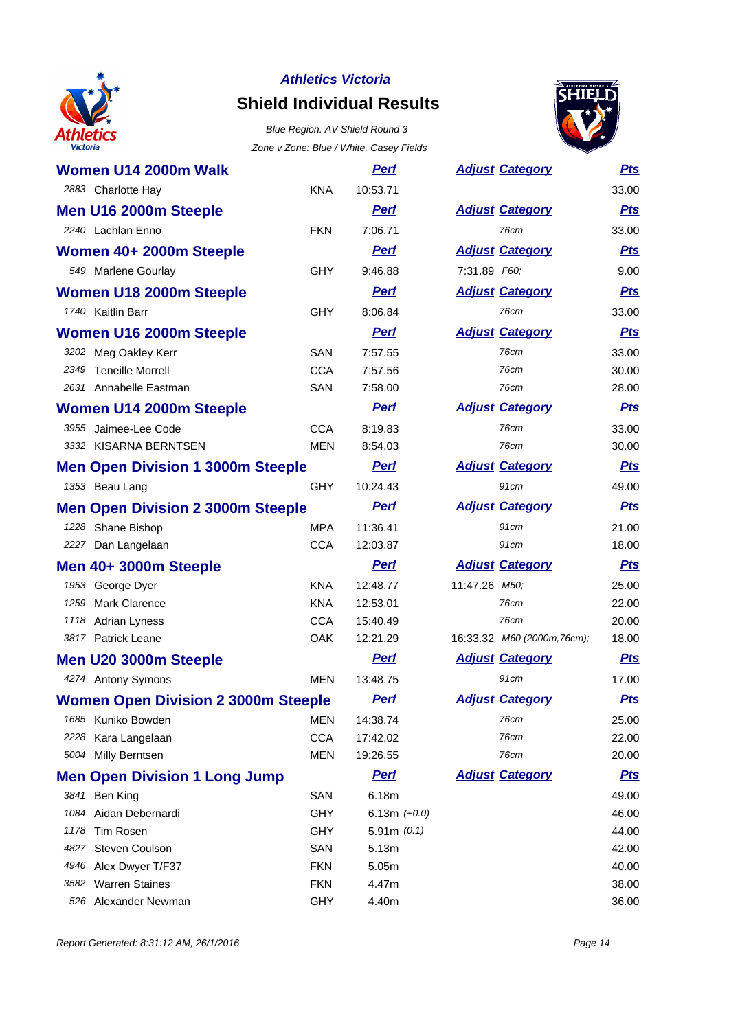

# **Shield Individual Results**



|      | Women U14 2000m Walk                       |            | <u>Perf</u>    |               | <b>Adjust Category</b>      | <u>Pts</u> |
|------|--------------------------------------------|------------|----------------|---------------|-----------------------------|------------|
|      | 2883 Charlotte Hay                         | <b>KNA</b> | 10:53.71       |               |                             | 33.00      |
|      | Men U16 2000m Steeple                      |            | <b>Perf</b>    |               | <b>Adjust Category</b>      | <u>Pts</u> |
|      | 2240 Lachlan Enno                          | <b>FKN</b> | 7:06.71        |               | 76cm                        | 33.00      |
|      | Women 40+ 2000m Steeple                    |            | <b>Perf</b>    |               | <b>Adjust Category</b>      | <b>Pts</b> |
|      | 549 Marlene Gourlay                        | GHY        | 9:46.88        | 7:31.89 F60;  |                             | 9.00       |
|      | Women U18 2000m Steeple                    |            | <b>Perf</b>    |               | <b>Adjust Category</b>      | <b>Pts</b> |
|      | 1740 Kaitlin Barr                          | <b>GHY</b> | 8:06.84        |               | 76cm                        | 33.00      |
|      | Women U16 2000m Steeple                    |            | <b>Perf</b>    |               | <b>Adjust Category</b>      | <b>Pts</b> |
|      | 3202 Meg Oakley Kerr                       | <b>SAN</b> | 7:57.55        |               | 76cm                        | 33.00      |
|      | 2349 Teneille Morrell                      | <b>CCA</b> | 7:57.56        |               | 76cm                        | 30.00      |
|      | 2631 Annabelle Eastman                     | SAN        | 7:58.00        |               | 76cm                        | 28.00      |
|      | Women U14 2000m Steeple                    |            | <b>Perf</b>    |               | <b>Adjust Category</b>      | <b>Pts</b> |
|      | 3955 Jaimee-Lee Code                       | <b>CCA</b> | 8:19.83        |               | 76cm                        | 33.00      |
|      | 3332 KISARNA BERNTSEN                      | <b>MEN</b> | 8:54.03        |               | 76cm                        | 30.00      |
|      | <b>Men Open Division 1 3000m Steeple</b>   |            | <b>Perf</b>    |               | <b>Adjust Category</b>      | <u>Pts</u> |
|      | 1353 Beau Lang                             | <b>GHY</b> | 10:24.43       |               | 91cm                        | 49.00      |
|      | <b>Men Open Division 2 3000m Steeple</b>   |            | <b>Perf</b>    |               | <b>Adjust Category</b>      | <u>Pts</u> |
|      | 1228 Shane Bishop                          | <b>MPA</b> | 11:36.41       |               | 91cm                        | 21.00      |
|      | 2227 Dan Langelaan                         | <b>CCA</b> | 12:03.87       |               | 91cm                        | 18.00      |
|      | Men 40+ 3000m Steeple                      |            | <b>Perf</b>    |               | <b>Adjust Category</b>      | <u>Pts</u> |
|      | 1953 George Dyer                           | <b>KNA</b> | 12:48.77       | 11:47.26 M50; |                             | 25.00      |
| 1259 | <b>Mark Clarence</b>                       | <b>KNA</b> | 12:53.01       |               | 76cm                        | 22.00      |
| 1118 | <b>Adrian Lyness</b>                       | <b>CCA</b> | 15:40.49       |               | 76cm                        | 20.00      |
|      | 3817 Patrick Leane                         | <b>OAK</b> | 12:21.29       |               | 16:33.32 M60 (2000m, 76cm); | 18.00      |
|      | Men U20 3000m Steeple                      |            | <b>Perf</b>    |               | <b>Adjust Category</b>      | <b>Pts</b> |
|      | 4274 Antony Symons                         | <b>MEN</b> | 13:48.75       |               | 91cm                        | 17.00      |
|      | <b>Women Open Division 2 3000m Steeple</b> |            | <u>Perf</u>    |               | <b>Adjust Category</b>      | <b>Pts</b> |
|      | 1685 Kuniko Bowden                         | MEN        | 14:38.74       |               | 76cm                        | 25.00      |
|      | 2228 Kara Langelaan                        | <b>CCA</b> | 17:42.02       |               | 76cm                        | 22.00      |
|      | 5004 Milly Berntsen                        | <b>MEN</b> | 19:26.55       |               | 76cm                        | 20.00      |
|      | <b>Men Open Division 1 Long Jump</b>       |            | <b>Perf</b>    |               | <b>Adjust Category</b>      | <u>Pts</u> |
|      | 3841 Ben King                              | SAN        | 6.18m          |               |                             | 49.00      |
| 1084 | Aidan Debernardi                           | <b>GHY</b> | 6.13m $(+0.0)$ |               |                             | 46.00      |
| 1178 | Tim Rosen                                  | GHY        | 5.91m $(0.1)$  |               |                             | 44.00      |
| 4827 | Steven Coulson                             | SAN        | 5.13m          |               |                             | 42.00      |
| 4946 | Alex Dwyer T/F37                           | <b>FKN</b> | 5.05m          |               |                             | 40.00      |
|      | 3582 Warren Staines                        | <b>FKN</b> | 4.47m          |               |                             | 38.00      |
| 526  | Alexander Newman                           | GHY        | 4.40m          |               |                             | 36.00      |

|              | <b>Adjust Category</b>     | <u>Pts</u> |
|--------------|----------------------------|------------|
|              |                            | 33.00      |
|              | <b>Adjust Category</b>     | <b>Pts</b> |
|              | 76cm                       | 33.00      |
|              | <u>Adjust Category</u>     | <u>Pts</u> |
| 7:31.89 F60; |                            | 9.00       |
|              | <b>Adjust Category</b>     | <u>Pts</u> |
|              | 76cm                       | 33.00      |
|              | <b>Adjust Category</b>     | <u>Pts</u> |
|              | 76cm                       | 33.00      |
|              | 76cm                       | 30.00      |
|              | 76cm                       | 28.00      |
|              | <b>Adjust Category</b>     | <b>Pts</b> |
|              | 76cm                       | 33.00      |
|              | 76cm                       | 30.00      |
|              | <u>Adjust Category</u>     | <u>Pts</u> |
|              | 91cm                       | 49.00      |
|              | <b>Adjust Category</b>     | <b>Pts</b> |
|              | 91cm                       | 21.00      |
|              | 91cm                       | 18.00      |
|              | <u>Adjust Category</u>     | <u>Pts</u> |
| 1:47.26 M50; |                            | 25.00      |
|              | 76cm                       | 22.00      |
|              | 76cm                       | 20.00      |
|              | 6:33.32 M60 (2000m, 76cm); | 18.00      |
|              | <b>Adjust Category</b>     | <u>Pts</u> |
|              | 91cm                       | 17.00      |
|              | <b>Adjust Category</b>     | <u>Pts</u> |
|              | 76cm                       | 25.00      |
|              | 76cm                       | 22.00      |
|              | 76cm                       | 20.00      |
|              | <b>Adjust Category</b>     | <b>Pts</b> |
|              |                            | 49.00      |
|              |                            | 46.00      |
|              |                            | 44.00      |
|              |                            | 42.00      |
|              |                            | 40.00      |
|              |                            | 38.00      |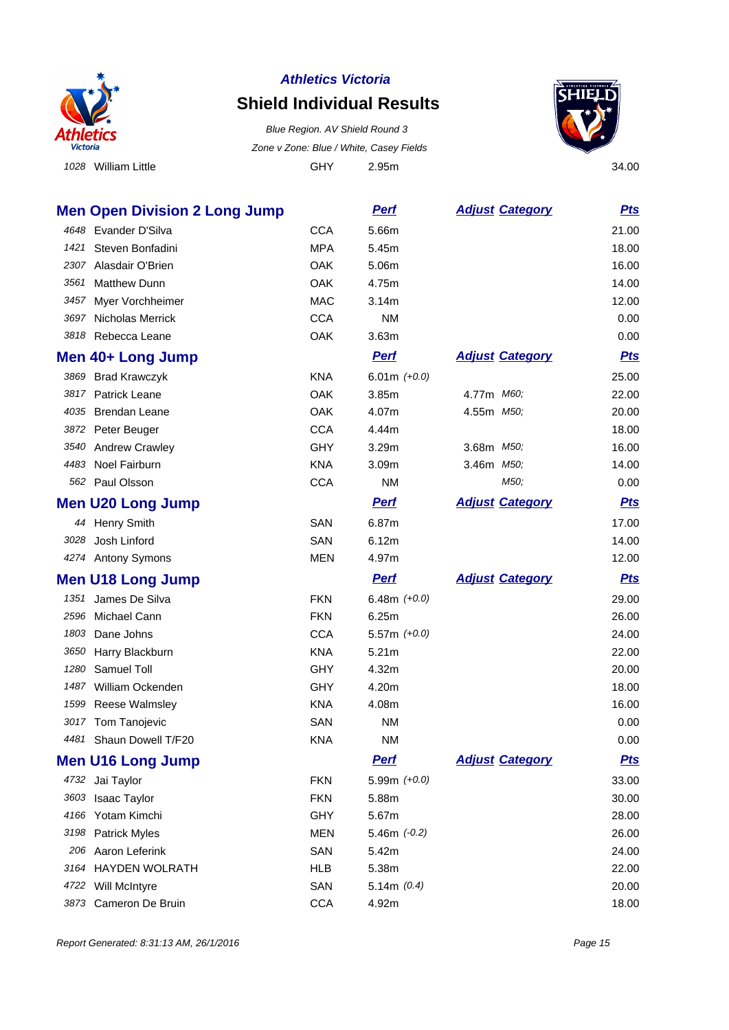

#### **Shield Individual Results**

 William Little GHY 2.95m 34.00 Blue Region. AV Shield Round 3 Zone v Zone: Blue / White, Casey Fields

**Men Open Division 2 Long Jump Perf Perf Adjust** Category **Pts** 



 Evander D'Silva CCA 5.66m 21.00 Steven Bonfadini MPA 5.45m 18.00 2307 Alasdair O'Brien Carrier Contract Contract Contract Contract Contract Contract On Contract Contract On the O Matthew Dunn OAK 4.75m 14.00 3457 Myer Vorchheimer **MAC** 3.14m 3457 Myer Vorchheimer Nicholas Merrick CCA NM 0.00 Rebecca Leane OAK 3.63m 0.00 **Men 40+ Long Jump Perf Perf Adjust Category Pts**  Brad Krawczyk KNA 6.01m (+0.0) 25.00 Patrick Leane OAK 3.85m 4.77m M60; 22.00 Brendan Leane OAK 4.07m 4.55m M50; 20.00 Peter Beuger CCA 4.44m 18.00 3540 Andrew Crawley **GHY** 3.29m 3.68m *M50;* 16.00 4483 Noel Fairburn 14.00 KNA 3.09m 3.46m M50; 14.00 Paul Olsson CCA NM M50; 0.00 **Men U20 Long Jump Perf Perf Adjust Category Pts** 44 Henry Smith 17.00 SAN 6.87m 17.00 Josh Linford SAN 6.12m 14.00 4274 Antony Symons **MEN** 4.97m **Men U18 Long Jump Perf Perf Adjust Category Pts**  James De Silva FKN 6.48m (+0.0) 29.00 Michael Cann FKN 6.25m 26.00 Dane Johns CCA 5.57m (+0.0) 24.00 Harry Blackburn KNA 5.21m 22.00 Samuel Toll GHY 4.32m 20.00 William Ockenden GHY 4.20m 18.00 Reese Walmsley KNA 4.08m 16.00 Tom Tanojevic SAN NM 0.00 Shaun Dowell T/F20 KNA NM 0.00 **Men U16 Long Jump Perf Perf Adjust Category Pts**  Jai Taylor FKN 5.99m (+0.0) 33.00 Isaac Taylor FKN 5.88m 30.00 Yotam Kimchi GHY 5.67m 28.00 Patrick Myles MEN 5.46m (-0.2) 26.00 Aaron Leferink SAN 5.42m 24.00

 HAYDEN WOLRATH HLB 5.38m 22.00 4722 Will McIntyre 20.00 Cameron De Bruin CCA 4.92m 18.00

Report Generated: 8:31:13 AM, 26/1/2016 **Page 15** Associated: 8:31:13 AM, 26/1/2016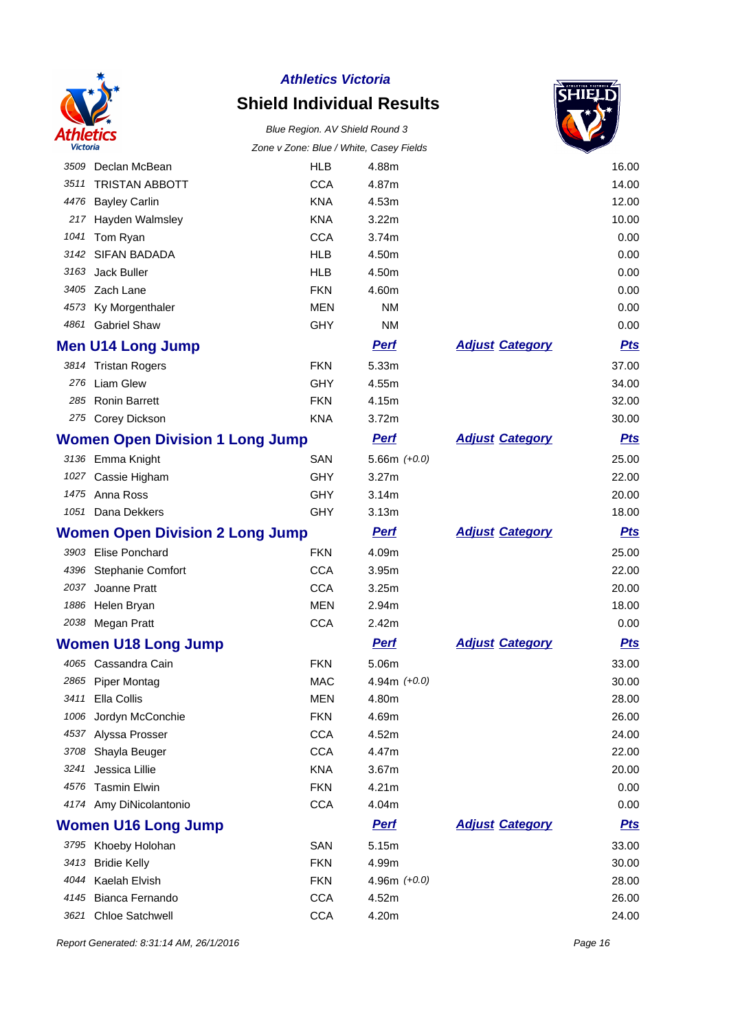

# **Shield Individual Results**

#### Blue Region. AV Shield Round 3 Zone v Zone: Blue / White, Casey Fields



|      |                                        | Zone v Zone: Blue / white, Casey Fleids |                |                        |            |
|------|----------------------------------------|-----------------------------------------|----------------|------------------------|------------|
| 3509 | Declan McBean                          | <b>HLB</b>                              | 4.88m          |                        | 16.00      |
| 3511 | <b>TRISTAN ABBOTT</b>                  | <b>CCA</b>                              | 4.87m          |                        | 14.00      |
| 4476 | <b>Bayley Carlin</b>                   | <b>KNA</b>                              | 4.53m          |                        | 12.00      |
| 217  | Hayden Walmsley                        | <b>KNA</b>                              | 3.22m          |                        | 10.00      |
| 1041 | Tom Ryan                               | <b>CCA</b>                              | 3.74m          |                        | 0.00       |
| 3142 | <b>SIFAN BADADA</b>                    | <b>HLB</b>                              | 4.50m          |                        | 0.00       |
| 3163 | Jack Buller                            | <b>HLB</b>                              | 4.50m          |                        | 0.00       |
| 3405 | Zach Lane                              | <b>FKN</b>                              | 4.60m          |                        | 0.00       |
| 4573 | Ky Morgenthaler                        | <b>MEN</b>                              | <b>NM</b>      |                        | 0.00       |
|      | 4861 Gabriel Shaw                      | GHY                                     | <b>NM</b>      |                        | 0.00       |
|      | <b>Men U14 Long Jump</b>               |                                         | <b>Perf</b>    | <b>Adjust Category</b> | <b>Pts</b> |
|      | 3814 Tristan Rogers                    | <b>FKN</b>                              | 5.33m          |                        | 37.00      |
| 276  | Liam Glew                              | <b>GHY</b>                              | 4.55m          |                        | 34.00      |
| 285  | <b>Ronin Barrett</b>                   | <b>FKN</b>                              | 4.15m          |                        | 32.00      |
|      | 275 Corey Dickson                      | <b>KNA</b>                              | 3.72m          |                        | 30.00      |
|      | <b>Women Open Division 1 Long Jump</b> |                                         | <b>Pert</b>    | <b>Adjust Category</b> | <b>Pts</b> |
|      | 3136 Emma Knight                       | SAN                                     | 5.66m $(+0.0)$ |                        | 25.00      |
|      | 1027 Cassie Higham                     | <b>GHY</b>                              | 3.27m          |                        | 22.00      |
|      | 1475 Anna Ross                         | <b>GHY</b>                              | 3.14m          |                        | 20.00      |
|      | 1051 Dana Dekkers                      | <b>GHY</b>                              | 3.13m          |                        | 18.00      |
|      | <b>Women Open Division 2 Long Jump</b> |                                         | <b>Pert</b>    | <b>Adjust Category</b> | <b>Pts</b> |
| 3903 | <b>Elise Ponchard</b>                  | <b>FKN</b>                              | 4.09m          |                        | 25.00      |
| 4396 | Stephanie Comfort                      | <b>CCA</b>                              | 3.95m          |                        | 22.00      |
| 2037 | Joanne Pratt                           | <b>CCA</b>                              | 3.25m          |                        | 20.00      |
| 1886 | Helen Bryan                            | <b>MEN</b>                              | 2.94m          |                        | 18.00      |
|      | 2038 Megan Pratt                       | <b>CCA</b>                              | 2.42m          |                        | 0.00       |
|      | <b>Women U18 Long Jump</b>             |                                         | <b>Pert</b>    | <b>Adjust Category</b> | <u>Pts</u> |
|      | 4065 Cassandra Cain                    | <b>FKN</b>                              | 5.06m          |                        | 33.00      |
|      | 2865 Piper Montag                      | <b>MAC</b>                              | 4.94m $(+0.0)$ |                        | 30.00      |
|      | 3411 Ella Collis                       | <b>MEN</b>                              | 4.80m          |                        | 28.00      |
| 1006 | Jordyn McConchie                       | <b>FKN</b>                              | 4.69m          |                        | 26.00      |
| 4537 | Alyssa Prosser                         | <b>CCA</b>                              | 4.52m          |                        | 24.00      |
| 3708 | Shayla Beuger                          | <b>CCA</b>                              | 4.47m          |                        | 22.00      |
| 3241 | Jessica Lillie                         | <b>KNA</b>                              | 3.67m          |                        | 20.00      |
| 4576 | <b>Tasmin Elwin</b>                    | <b>FKN</b>                              | 4.21m          |                        | 0.00       |
|      | 4174 Amy DiNicolantonio                | <b>CCA</b>                              | 4.04m          |                        | 0.00       |
|      | <b>Women U16 Long Jump</b>             |                                         | <b>Perf</b>    | <b>Adjust Category</b> | <u>Pts</u> |
|      | 3795 Khoeby Holohan                    | SAN                                     | 5.15m          |                        | 33.00      |
|      | 3413 Bridie Kelly                      | <b>FKN</b>                              | 4.99m          |                        | 30.00      |
|      | 4044 Kaelah Elvish                     | <b>FKN</b>                              | 4.96m $(+0.0)$ |                        | 28.00      |
| 4145 | Bianca Fernando                        | <b>CCA</b>                              | 4.52m          |                        | 26.00      |
| 3621 | Chloe Satchwell                        | <b>CCA</b>                              | 4.20m          |                        | 24.00      |

Report Generated: 8:31:14 AM, 26/1/2016 **Page 16**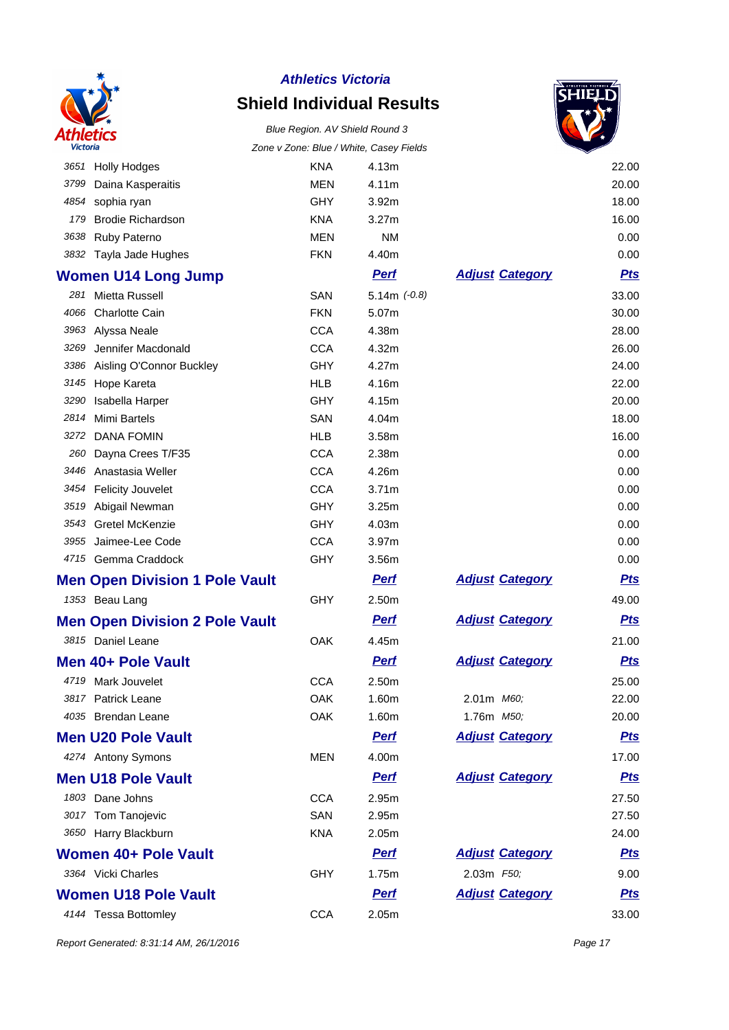

# **Shield Individual Results**



|      |                                       |            | Zune v Zune. Diue / Willie, Casey Fields |                        |            |
|------|---------------------------------------|------------|------------------------------------------|------------------------|------------|
|      | 3651 Holly Hodges                     | <b>KNA</b> | 4.13m                                    |                        | 22.00      |
| 3799 | Daina Kasperaitis                     | <b>MEN</b> | 4.11m                                    |                        | 20.00      |
| 4854 | sophia ryan                           | GHY        | 3.92m                                    |                        | 18.00      |
| 179  | <b>Brodie Richardson</b>              | <b>KNA</b> | 3.27m                                    |                        | 16.00      |
| 3638 | Ruby Paterno                          | <b>MEN</b> | <b>NM</b>                                |                        | 0.00       |
| 3832 | Tayla Jade Hughes                     | <b>FKN</b> | 4.40m                                    |                        | 0.00       |
|      | <b>Women U14 Long Jump</b>            |            | <b>Perf</b>                              | <b>Adjust Category</b> | <b>Pts</b> |
| 281  | Mietta Russell                        | SAN        | $5.14m (-0.8)$                           |                        | 33.00      |
| 4066 | <b>Charlotte Cain</b>                 | <b>FKN</b> | 5.07m                                    |                        | 30.00      |
| 3963 | Alyssa Neale                          | <b>CCA</b> | 4.38m                                    |                        | 28.00      |
| 3269 | Jennifer Macdonald                    | <b>CCA</b> | 4.32m                                    |                        | 26.00      |
| 3386 | Aisling O'Connor Buckley              | GHY        | 4.27m                                    |                        | 24.00      |
| 3145 | Hope Kareta                           | <b>HLB</b> | 4.16m                                    |                        | 22.00      |
| 3290 | Isabella Harper                       | GHY        | 4.15m                                    |                        | 20.00      |
| 2814 | Mimi Bartels                          | SAN        | 4.04m                                    |                        | 18.00      |
| 3272 | <b>DANA FOMIN</b>                     | <b>HLB</b> | 3.58m                                    |                        | 16.00      |
| 260  | Dayna Crees T/F35                     | <b>CCA</b> | 2.38m                                    |                        | 0.00       |
| 3446 | Anastasia Weller                      | <b>CCA</b> | 4.26m                                    |                        | 0.00       |
|      | 3454 Felicity Jouvelet                | <b>CCA</b> | 3.71m                                    |                        | 0.00       |
| 3519 | Abigail Newman                        | GHY        | 3.25m                                    |                        | 0.00       |
| 3543 | Gretel McKenzie                       | <b>GHY</b> | 4.03m                                    |                        | 0.00       |
| 3955 | Jaimee-Lee Code                       | <b>CCA</b> | 3.97m                                    |                        | 0.00       |
|      | 4715 Gemma Craddock                   | <b>GHY</b> | 3.56m                                    |                        | 0.00       |
|      | <b>Men Open Division 1 Pole Vault</b> |            | <b>Perf</b>                              | <b>Adjust Category</b> | <b>Pts</b> |
|      | 1353 Beau Lang                        | GHY        | 2.50m                                    |                        | 49.00      |
|      | <b>Men Open Division 2 Pole Vault</b> |            | <b>Pert</b>                              | <b>Adjust Category</b> | <b>Pts</b> |
|      | 3815 Daniel Leane                     | OAK        | 4.45m                                    |                        | 21.00      |
|      | Men 40+ Pole Vault                    |            | <b>Pert</b>                              | <b>Adjust Category</b> | <b>Pts</b> |
|      | 4719 Mark Jouvelet                    | <b>CCA</b> | 2.50m                                    |                        | 25.00      |
|      | 3817 Patrick Leane                    | OAK        | 1.60m                                    | 2.01m M60;             | 22.00      |
|      | 4035 Brendan Leane                    | OAK        | 1.60m                                    | 1.76m M50;             | 20.00      |
|      | <b>Men U20 Pole Vault</b>             |            | <b>Perf</b>                              | <b>Adjust Category</b> | <u>Pts</u> |
|      | 4274 Antony Symons                    | MEN        | 4.00m                                    |                        | 17.00      |
|      | <b>Men U18 Pole Vault</b>             |            | <b>Perf</b>                              | <b>Adjust Category</b> | <b>Pts</b> |
|      | 1803 Dane Johns                       | <b>CCA</b> | 2.95m                                    |                        | 27.50      |
|      | 3017 Tom Tanojevic                    | SAN        | 2.95m                                    |                        | 27.50      |
|      | 3650 Harry Blackburn                  | <b>KNA</b> | 2.05m                                    |                        | 24.00      |
|      | Women 40+ Pole Vault                  |            | <b>Pert</b>                              | <b>Adjust Category</b> | <u>Pts</u> |
|      | 3364 Vicki Charles                    | <b>GHY</b> | 1.75m                                    | 2.03m F50;             | 9.00       |
|      | <b>Women U18 Pole Vault</b>           |            | <b>Perf</b>                              | <b>Adjust Category</b> | <u>Pts</u> |
|      | 4144 Tessa Bottomley                  | <b>CCA</b> | 2.05m                                    |                        | 33.00      |
|      |                                       |            |                                          |                        |            |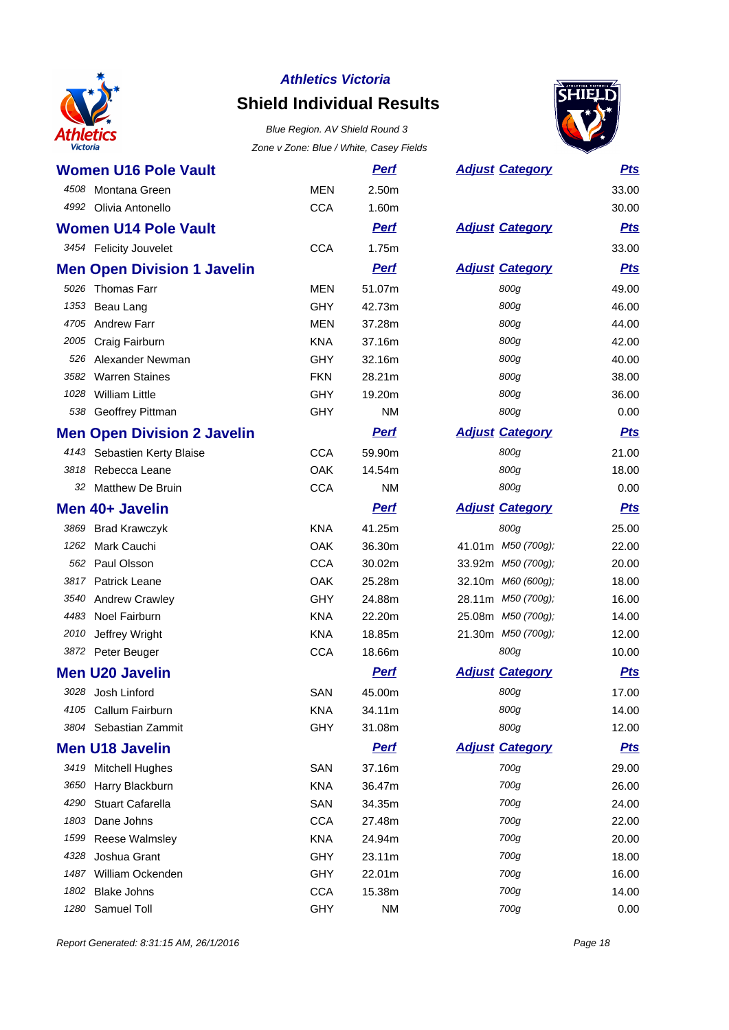

# **Shield Individual Results**



| <b>Women U16 Pole Vault</b>        |            | <u>Perf</u> | <b>Adjust Category</b> | <b>Pts</b> |
|------------------------------------|------------|-------------|------------------------|------------|
| 4508 Montana Green                 | <b>MEN</b> | 2.50m       |                        | 33.00      |
| 4992 Olivia Antonello              | <b>CCA</b> | 1.60m       |                        | 30.00      |
| <b>Women U14 Pole Vault</b>        |            | <b>Perf</b> | <b>Adjust Category</b> | <u>Pts</u> |
| 3454 Felicity Jouvelet             | <b>CCA</b> | 1.75m       |                        | 33.00      |
| <b>Men Open Division 1 Javelin</b> |            | <b>Perf</b> | <b>Adjust Category</b> | <b>Pts</b> |
| 5026 Thomas Farr                   | <b>MEN</b> | 51.07m      | 800g                   | 49.00      |
| 1353<br>Beau Lang                  | GHY        | 42.73m      | 800g                   | 46.00      |
| 4705 Andrew Farr                   | <b>MEN</b> | 37.28m      | 800g                   | 44.00      |
| 2005 Craig Fairburn                | <b>KNA</b> | 37.16m      | 800g                   | 42.00      |
| 526 Alexander Newman               | <b>GHY</b> | 32.16m      | 800g                   | 40.00      |
| 3582 Warren Staines                | <b>FKN</b> | 28.21m      | 800g                   | 38.00      |
| <b>William Little</b><br>1028      | GHY        | 19.20m      | 800g                   | 36.00      |
| 538 Geoffrey Pittman               | <b>GHY</b> | ΝM          | 800g                   | 0.00       |
| <b>Men Open Division 2 Javelin</b> |            | <b>Perf</b> | <b>Adjust Category</b> | <b>Pts</b> |
| 4143 Sebastien Kerty Blaise        | <b>CCA</b> | 59.90m      | 800g                   | 21.00      |
| Rebecca Leane<br>3818              | <b>OAK</b> | 14.54m      | 800g                   | 18.00      |
| 32 Matthew De Bruin                | <b>CCA</b> | <b>NM</b>   | 800g                   | 0.00       |
| Men 40+ Javelin                    |            | <b>Perf</b> | <b>Adjust Category</b> | <u>Pts</u> |
| 3869<br><b>Brad Krawczyk</b>       | <b>KNA</b> | 41.25m      | 800g                   | 25.00      |
| Mark Cauchi<br>1262                | <b>OAK</b> | 36.30m      | 41.01m M50 (700g);     | 22.00      |
| Paul Olsson<br>562                 | <b>CCA</b> | 30.02m      | 33.92m M50 (700g);     | 20.00      |
| 3817 Patrick Leane                 | <b>OAK</b> | 25.28m      | 32.10m M60 (600g);     | 18.00      |
| 3540 Andrew Crawley                | <b>GHY</b> | 24.88m      | 28.11m M50 (700g);     | 16.00      |
| Noel Fairburn<br>4483              | <b>KNA</b> | 22.20m      | 25.08m M50 (700g);     | 14.00      |
| 2010<br>Jeffrey Wright             | <b>KNA</b> | 18.85m      | 21.30m M50 (700g);     | 12.00      |
| 3872 Peter Beuger                  | <b>CCA</b> | 18.66m      | 800g                   | 10.00      |
| <b>Men U20 Javelin</b>             |            | <b>Perf</b> | <b>Adjust Category</b> | <b>Pts</b> |
| 3028 Josh Linford                  | SAN        | 45.00m      | 800g                   | 17.00      |
| 4105 Callum Fairburn               | <b>KNA</b> | 34.11m      | 800g                   | 14.00      |
| Sebastian Zammit<br>3804           | <b>GHY</b> | 31.08m      | 800g                   | 12.00      |
| <b>Men U18 Javelin</b>             |            | <b>Perf</b> | <b>Adjust Category</b> | <u>Pts</u> |
| 3419 Mitchell Hughes               | <b>SAN</b> | 37.16m      | 700g                   | 29.00      |
| 3650<br>Harry Blackburn            | <b>KNA</b> | 36.47m      | 700g                   | 26.00      |
| <b>Stuart Cafarella</b><br>4290    | SAN        | 34.35m      | 700g                   | 24.00      |
| Dane Johns<br>1803                 | <b>CCA</b> | 27.48m      | 700g                   | 22.00      |
| Reese Walmsley<br>1599             | <b>KNA</b> | 24.94m      | 700g                   | 20.00      |
| Joshua Grant<br>4328               | GHY        | 23.11m      | 700g                   | 18.00      |
| William Ockenden<br>1487           | <b>GHY</b> | 22.01m      | 700g                   | 16.00      |
| <b>Blake Johns</b><br>1802         | <b>CCA</b> | 15.38m      | 700g                   | 14.00      |
| Samuel Toll<br>1280                | <b>GHY</b> | <b>NM</b>   | 700g                   | 0.00       |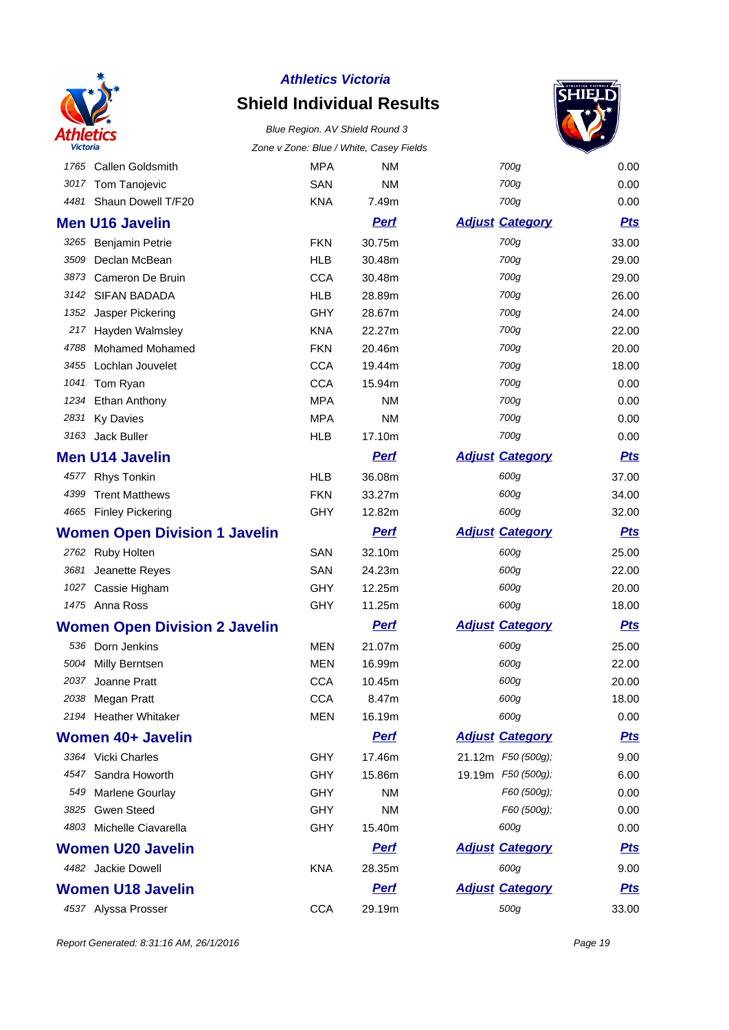

# **Shield Individual Results**





| 1765 Callen Goldsmith                | <b>MPA</b> | <b>NM</b>   | 700g                   | 0.00       |
|--------------------------------------|------------|-------------|------------------------|------------|
| 3017 Tom Tanojevic                   | SAN        | <b>NM</b>   | 700g                   | 0.00       |
| 4481 Shaun Dowell T/F20              | <b>KNA</b> | 7.49m       | 700g                   | 0.00       |
| <b>Men U16 Javelin</b>               |            | <b>Perf</b> | <b>Adjust Category</b> | <u>Pts</u> |
| 3265 Benjamin Petrie                 | <b>FKN</b> | 30.75m      | 700g                   | 33.00      |
| Declan McBean<br>3509                | <b>HLB</b> | 30.48m      | 700g                   | 29.00      |
| 3873<br>Cameron De Bruin             | <b>CCA</b> | 30.48m      | 700g                   | 29.00      |
| 3142 SIFAN BADADA                    | <b>HLB</b> | 28.89m      | 700g                   | 26.00      |
| Jasper Pickering<br>1352             | <b>GHY</b> | 28.67m      | 700g                   | 24.00      |
| 217 Hayden Walmsley                  | <b>KNA</b> | 22.27m      | 700g                   | 22.00      |
| 4788 Mohamed Mohamed                 | <b>FKN</b> | 20.46m      | 700g                   | 20.00      |
| 3455 Lochlan Jouvelet                | <b>CCA</b> | 19.44m      | 700g                   | 18.00      |
| 1041 Tom Ryan                        | <b>CCA</b> | 15.94m      | 700g                   | 0.00       |
| 1234 Ethan Anthony                   | <b>MPA</b> | ΝM          | 700g                   | 0.00       |
| 2831<br><b>Ky Davies</b>             | <b>MPA</b> | <b>NM</b>   | 700g                   | 0.00       |
| 3163 Jack Buller                     | <b>HLB</b> | 17.10m      | 700g                   | 0.00       |
| <b>Men U14 Javelin</b>               |            | <b>Pert</b> | <b>Adjust Category</b> | <b>Pts</b> |
| Rhys Tonkin<br>4577                  | <b>HLB</b> | 36.08m      | 600g                   | 37.00      |
| <b>Trent Matthews</b><br>4399        | <b>FKN</b> | 33.27m      | 600g                   | 34.00      |
| 4665 Finley Pickering                | <b>GHY</b> | 12.82m      | 600g                   | 32.00      |
| <b>Women Open Division 1 Javelin</b> |            | <b>Pert</b> | <b>Adjust Category</b> | <b>Pts</b> |
| 2762 Ruby Holten                     | SAN        | 32.10m      | 600g                   | 25.00      |
| 3681 Jeanette Reyes                  | SAN        | 24.23m      | 600g                   | 22.00      |
| 1027 Cassie Higham                   | <b>GHY</b> | 12.25m      | 600g                   | 20.00      |
| 1475 Anna Ross                       | <b>GHY</b> | 11.25m      | 600g                   | 18.00      |
| <b>Women Open Division 2 Javelin</b> |            | <b>Perf</b> | <b>Adjust Category</b> | <u>Pts</u> |
| 536 Dorn Jenkins                     | <b>MEN</b> | 21.07m      | 600g                   | 25.00      |
| 5004 Milly Berntsen                  | <b>MEN</b> | 16.99m      | 600g                   | 22.00      |
| Joanne Pratt<br>2037                 | <b>CCA</b> | 10.45m      | 600g                   | 20.00      |
| 2038 Megan Pratt                     | <b>CCA</b> | 8.47m       | 600a                   | 18.00      |
| 2194 Heather Whitaker                | MEN        | 16.19m      | 600g                   | 0.00       |
| Women 40+ Javelin                    |            | <b>Perf</b> | <b>Adjust Category</b> | <u>Pts</u> |
| 3364 Vicki Charles                   | GHY        | 17.46m      | 21.12m F50 (500g);     | 9.00       |
| 4547 Sandra Howorth                  | <b>GHY</b> | 15.86m      | 19.19m F50 (500g);     | 6.00       |
| 549 Marlene Gourlay                  | <b>GHY</b> | NM.         | F60 (500g);            | 0.00       |
| 3825 Gwen Steed                      | GHY        | ΝM          | F60 (500g);            | 0.00       |
| 4803 Michelle Ciavarella             | GHY        | 15.40m      | 600g                   | 0.00       |
| <b>Women U20 Javelin</b>             |            | <b>Perf</b> | <b>Adjust Category</b> | <u>Pts</u> |
| 4482 Jackie Dowell                   | <b>KNA</b> | 28.35m      | 600g                   | 9.00       |
| <b>Women U18 Javelin</b>             |            | <b>Perf</b> | <b>Adjust Category</b> | <u>Pts</u> |
| 4537 Alyssa Prosser                  | <b>CCA</b> | 29.19m      | 500g                   | 33.00      |

Report Generated: 8:31:16 AM, 26/1/2016 **Page 19**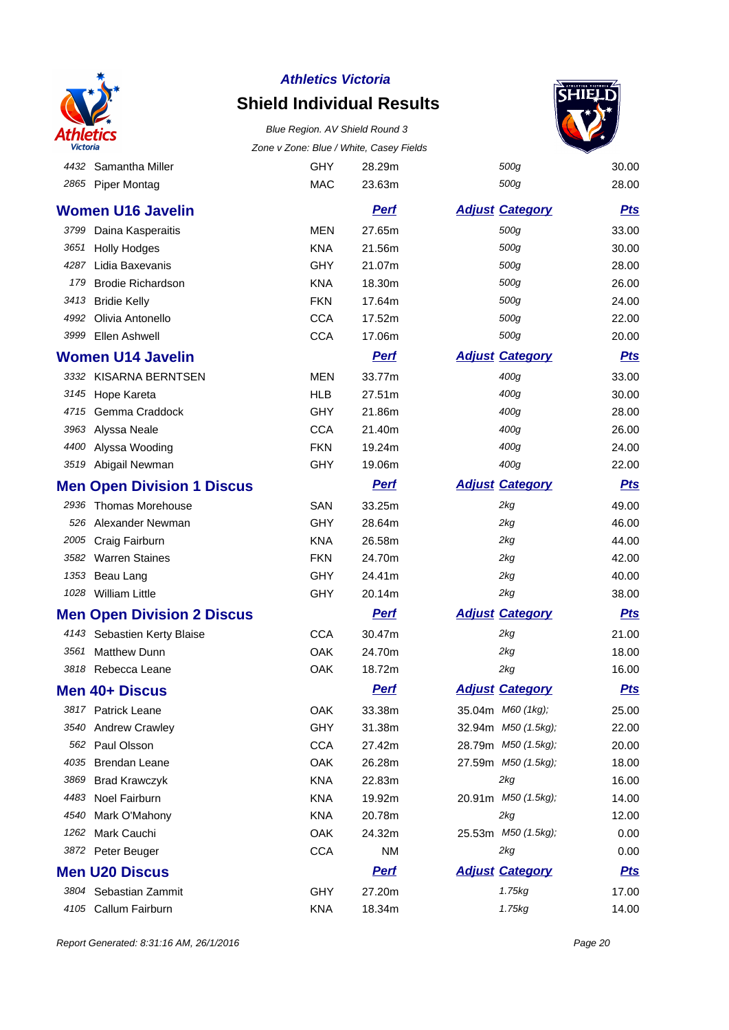

### **Shield Individual Results** Blue Region. AV Shield Round 3



| Victoria |                                   | Zone v Zone: Blue / White, Casey Fields |             |                        |            |
|----------|-----------------------------------|-----------------------------------------|-------------|------------------------|------------|
| 4432     | Samantha Miller                   | <b>GHY</b>                              | 28.29m      | 500g                   | 30.00      |
| 2865     | <b>Piper Montag</b>               | <b>MAC</b>                              | 23.63m      | 500g                   | 28.00      |
|          | <b>Women U16 Javelin</b>          |                                         | <b>Perf</b> | <b>Adjust Category</b> | <u>Pts</u> |
| 3799     | Daina Kasperaitis                 | <b>MEN</b>                              | 27.65m      | 500g                   | 33.00      |
| 3651     | <b>Holly Hodges</b>               | <b>KNA</b>                              | 21.56m      | 500g                   | 30.00      |
| 4287     | Lidia Baxevanis                   | <b>GHY</b>                              | 21.07m      | 500g                   | 28.00      |
| 179      | <b>Brodie Richardson</b>          | <b>KNA</b>                              | 18.30m      | 500g                   | 26.00      |
| 3413     | <b>Bridie Kelly</b>               | <b>FKN</b>                              | 17.64m      | 500g                   | 24.00      |
| 4992     | Olivia Antonello                  | <b>CCA</b>                              | 17.52m      | 500g                   | 22.00      |
| 3999     | Ellen Ashwell                     | <b>CCA</b>                              | 17.06m      | 500g                   | 20.00      |
|          | <b>Women U14 Javelin</b>          |                                         | <b>Perf</b> | <b>Adjust Category</b> | <b>Pts</b> |
|          | 3332 KISARNA BERNTSEN             | <b>MEN</b>                              | 33.77m      | 400g                   | 33.00      |
|          | 3145 Hope Kareta                  | <b>HLB</b>                              | 27.51m      | 400g                   | 30.00      |
|          | 4715 Gemma Craddock               | <b>GHY</b>                              | 21.86m      | 400g                   | 28.00      |
|          | 3963 Alyssa Neale                 | <b>CCA</b>                              | 21.40m      | 400g                   | 26.00      |
| 4400     | Alyssa Wooding                    | <b>FKN</b>                              | 19.24m      | 400g                   | 24.00      |
|          | 3519 Abigail Newman               | GHY                                     | 19.06m      | 400g                   | 22.00      |
|          | <b>Men Open Division 1 Discus</b> |                                         | <b>Perf</b> | <b>Adjust Category</b> | <b>Pts</b> |
| 2936     | <b>Thomas Morehouse</b>           | <b>SAN</b>                              | 33.25m      | 2kg                    | 49.00      |
| 526      | Alexander Newman                  | <b>GHY</b>                              | 28.64m      | 2kg                    | 46.00      |
| 2005     | Craig Fairburn                    | <b>KNA</b>                              | 26.58m      | 2kg                    | 44.00      |
| 3582     | <b>Warren Staines</b>             | <b>FKN</b>                              | 24.70m      | 2kg                    | 42.00      |
| 1353     | Beau Lang                         | <b>GHY</b>                              | 24.41m      | 2kg                    | 40.00      |
|          | 1028 William Little               | GHY                                     | 20.14m      | 2kg                    | 38.00      |
|          | <b>Men Open Division 2 Discus</b> |                                         | <u>Perf</u> | <b>Adjust Category</b> | <u>Pts</u> |
|          | 4143 Sebastien Kerty Blaise       | <b>CCA</b>                              | 30.47m      | 2kg                    | 21.00      |
| 3561     | <b>Matthew Dunn</b>               | OAK                                     | 24.70m      | 2kg                    | 18.00      |
| 3818     | Rebecca Leane                     | OAK                                     | 18.72m      | 2kg                    | 16.00      |
|          | Men 40+ Discus                    |                                         | <b>Perf</b> | <b>Adjust Category</b> | <b>Pts</b> |
|          | 3817 Patrick Leane                | OAK                                     | 33.38m      | 35.04m M60 (1kg);      | 25.00      |
|          | 3540 Andrew Crawley               | <b>GHY</b>                              | 31.38m      | 32.94m M50 (1.5kg);    | 22.00      |
| 562      | Paul Olsson                       | <b>CCA</b>                              | 27.42m      | 28.79m M50 (1.5kg);    | 20.00      |
| 4035     | <b>Brendan Leane</b>              | OAK                                     | 26.28m      | 27.59m M50 (1.5kg);    | 18.00      |
| 3869     | <b>Brad Krawczyk</b>              | <b>KNA</b>                              | 22.83m      | 2kg                    | 16.00      |
|          | 4483 Noel Fairburn                | KNA                                     | 19.92m      | 20.91m M50 (1.5kg);    | 14.00      |
| 4540     | Mark O'Mahony                     | <b>KNA</b>                              | 20.78m      | 2kg                    | 12.00      |
|          | 1262 Mark Cauchi                  | OAK                                     | 24.32m      | 25.53m M50 (1.5kg);    | 0.00       |
|          | 3872 Peter Beuger                 | <b>CCA</b>                              | NM          | 2kg                    | 0.00       |
|          | <b>Men U20 Discus</b>             |                                         | <u>Perf</u> | <b>Adjust Category</b> | <u>Pts</u> |
|          | 3804 Sebastian Zammit             | <b>GHY</b>                              | 27.20m      | 1.75kg                 | 17.00      |
|          | 4105 Callum Fairburn              | KNA                                     | 18.34m      | 1.75kg                 | 14.00      |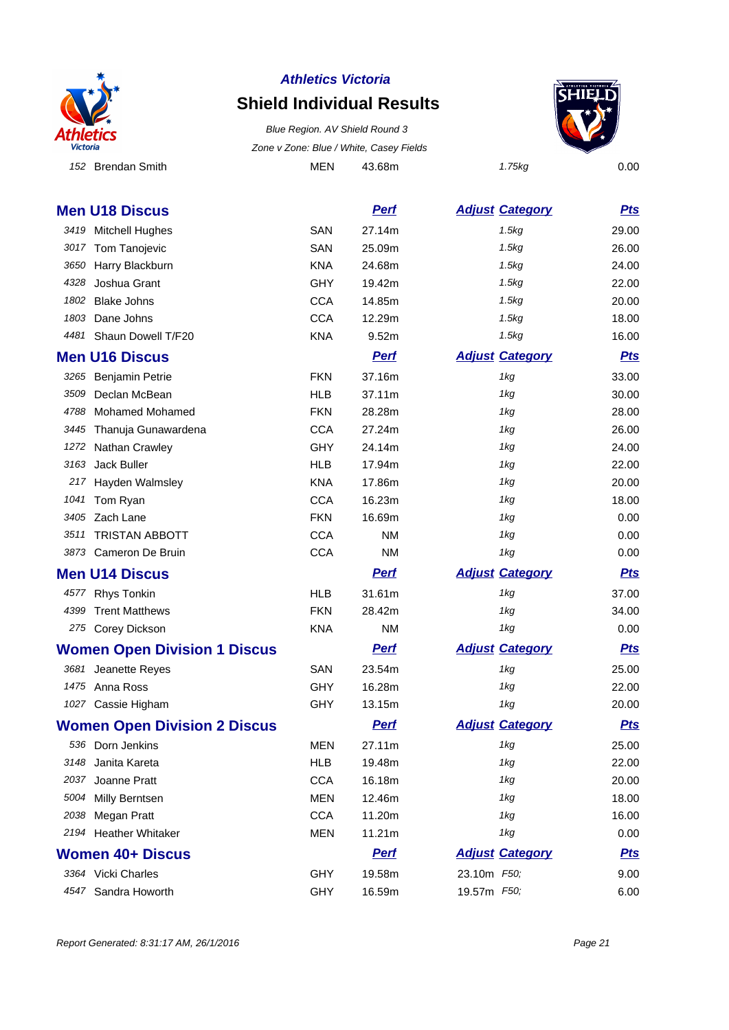

# **Shield Individual Results**

152 Brendan Smith **MEN** 43.68m 1.75kg 0.00 Blue Region. AV Shield Round 3 Zone v Zone: Blue / White, Casey Fields



|      | <b>Men U18 Discus</b>               |            | <b>Perf</b> | <b>Adjust Category</b> | <b>Pts</b> |
|------|-------------------------------------|------------|-------------|------------------------|------------|
|      | 3419 Mitchell Hughes                | <b>SAN</b> | 27.14m      | 1.5kg                  | 29.00      |
|      | 3017 Tom Tanojevic                  | <b>SAN</b> | 25.09m      | 1.5kg                  | 26.00      |
| 3650 | Harry Blackburn                     | <b>KNA</b> | 24.68m      | 1.5kg                  | 24.00      |
| 4328 | Joshua Grant                        | <b>GHY</b> | 19.42m      | 1.5kg                  | 22.00      |
| 1802 | <b>Blake Johns</b>                  | <b>CCA</b> | 14.85m      | 1.5kg                  | 20.00      |
| 1803 | Dane Johns                          | <b>CCA</b> | 12.29m      | 1.5kg                  | 18.00      |
|      | 4481 Shaun Dowell T/F20             | <b>KNA</b> | 9.52m       | 1.5kg                  | 16.00      |
|      | <b>Men U16 Discus</b>               |            | <b>Perf</b> | <b>Adjust Category</b> | <b>Pts</b> |
|      | 3265 Benjamin Petrie                | <b>FKN</b> | 37.16m      | 1kg                    | 33.00      |
| 3509 | Declan McBean                       | <b>HLB</b> | 37.11m      | 1kg                    | 30.00      |
| 4788 | <b>Mohamed Mohamed</b>              | <b>FKN</b> | 28.28m      | 1kg                    | 28.00      |
|      | 3445 Thanuja Gunawardena            | <b>CCA</b> | 27.24m      | 1kg                    | 26.00      |
| 1272 | <b>Nathan Crawley</b>               | <b>GHY</b> | 24.14m      | 1kg                    | 24.00      |
| 3163 | Jack Buller                         | <b>HLB</b> | 17.94m      | 1kg                    | 22.00      |
|      | 217 Hayden Walmsley                 | <b>KNA</b> | 17.86m      | 1kg                    | 20.00      |
| 1041 | Tom Ryan                            | <b>CCA</b> | 16.23m      | 1kg                    | 18.00      |
|      | 3405 Zach Lane                      | <b>FKN</b> | 16.69m      | 1kg                    | 0.00       |
|      | 3511 TRISTAN ABBOTT                 | <b>CCA</b> | <b>NM</b>   | 1kg                    | 0.00       |
|      | 3873 Cameron De Bruin               | <b>CCA</b> | <b>NM</b>   | 1kg                    | 0.00       |
|      | <b>Men U14 Discus</b>               |            | <b>Pert</b> | <b>Adjust Category</b> | <u>Pts</u> |
| 4577 | <b>Rhys Tonkin</b>                  | <b>HLB</b> | 31.61m      | 1kg                    | 37.00      |
| 4399 | <b>Trent Matthews</b>               | <b>FKN</b> | 28.42m      | 1kg                    | 34.00      |
|      | 275 Corey Dickson                   | <b>KNA</b> | <b>NM</b>   | 1kg                    | 0.00       |
|      | <b>Women Open Division 1 Discus</b> |            | <b>Perf</b> | <b>Adjust Category</b> | <b>Pts</b> |
|      | 3681 Jeanette Reyes                 | <b>SAN</b> | 23.54m      | 1kg                    | 25.00      |
|      | 1475 Anna Ross                      | <b>GHY</b> | 16.28m      | 1kg                    | 22.00      |
|      | 1027 Cassie Higham                  | <b>GHY</b> | 13.15m      | 1kg                    | 20.00      |
|      | <b>Women Open Division 2 Discus</b> |            | <b>Perf</b> | <b>Adjust Category</b> | <b>Pts</b> |
|      | 536 Dorn Jenkins                    | <b>MEN</b> | 27.11m      | 1kg                    | 25.00      |
|      | 3148 Janita Kareta                  | <b>HLB</b> | 19.48m      | 1kg                    | 22.00      |
| 2037 | Joanne Pratt                        | <b>CCA</b> | 16.18m      | 1kg                    | 20.00      |
| 5004 | Milly Berntsen                      | <b>MEN</b> | 12.46m      | 1kg                    | 18.00      |
| 2038 | Megan Pratt                         | <b>CCA</b> | 11.20m      | 1kg                    | 16.00      |
|      | 2194 Heather Whitaker               | <b>MEN</b> | 11.21m      | 1kg                    | 0.00       |
|      | <b>Women 40+ Discus</b>             |            | <b>Pert</b> | <b>Adjust Category</b> | <b>Pts</b> |
|      | 3364 Vicki Charles                  | <b>GHY</b> | 19.58m      | 23.10m F50;            | 9.00       |
|      | 4547 Sandra Howorth                 | GHY        | 16.59m      | 19.57m F50;            | 6.00       |